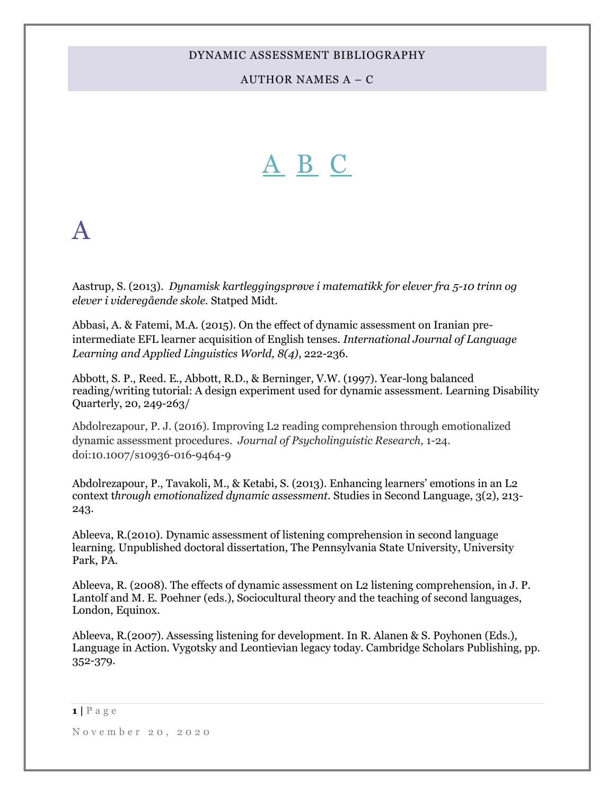AUTHOR NAMES A – C

# <span id="page-0-1"></span>[A](#page-0-0) [B](#page-5-0) [C](#page-17-0)

# <span id="page-0-0"></span>A

Aastrup, S. (2013). *Dynamisk kartleggingsprøve i matematikk for elever fra 5-10 trinn og elever i videregående skole.* Statped Midt.

Abbasi, A. & Fatemi, M.A. (2015). On the effect of dynamic assessment on Iranian preintermediate EFL learner acquisition of English tenses. *International Journal of Language Learning and Applied Linguistics World, 8(4)*, 222-236.

Abbott, S. P., Reed. E., Abbott, R.D., & Berninger, V.W. (1997). Year-long balanced reading/writing tutorial: A design experiment used for dynamic assessment. Learning Disability Quarterly, 20, 249-263/

Abdolrezapour, P. J. (2016). Improving L2 reading comprehension through emotionalized dynamic assessment procedures. *Journal of Psycholinguistic Research,* 1-24. doi:10.1007/s10936-016-9464-9

Abdolrezapour, P., Tavakoli, M., & Ketabi, S. (2013). Enhancing learners' emotions in an L2 context t*hrough emotionalized dynamic assessment.* Studies in Second Language, 3(2), 213- 243.

Ableeva, R.(2010). Dynamic assessment of listening comprehension in second language learning. Unpublished doctoral dissertation, The Pennsylvania State University, University Park, PA.

Ableeva, R. (2008). The effects of dynamic assessment on L2 listening comprehension, in J. P. Lantolf and M. E. Poehner (eds.), Sociocultural theory and the teaching of second languages, London, Equinox.

Ableeva, R.(2007). Assessing listening for development. In R. Alanen & S. Poyhonen (Eds.), Language in Action. Vygotsky and Leontievian legacy today. Cambridge Scholars Publishing, pp. 352-379.

 $1$  |  $P$  a g e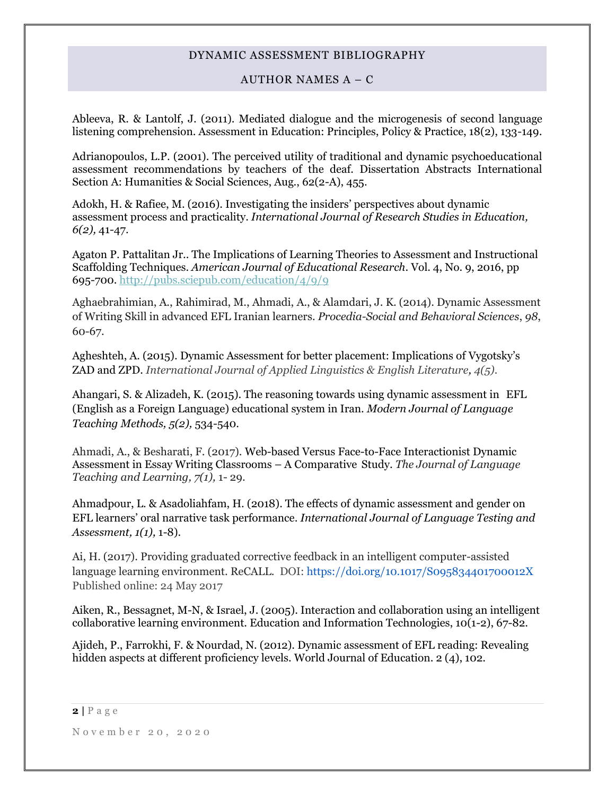# AUTHOR NAMES  $A - C$

Ableeva, R. & Lantolf, J. (2011). Mediated dialogue and the microgenesis of second language listening comprehension. Assessment in Education: Principles, Policy & Practice, 18(2), 133-149.

Adrianopoulos, L.P. (2001). The perceived utility of traditional and dynamic psychoeducational assessment recommendations by teachers of the deaf. Dissertation Abstracts International Section A: Humanities & Social Sciences, Aug., 62(2-A), 455.

Adokh, H. & Rafiee, M. (2016). Investigating the insiders' perspectives about dynamic assessment process and practicality. *International Journal of Research Studies in Education, 6(2),* 41-47.

Agaton P. Pattalitan Jr.. The Implications of Learning Theories to Assessment and Instructional Scaffolding Techniques. *American Journal of Educational Research*. Vol. 4, No. 9, 2016, pp 695-700.<http://pubs.sciepub.com/education/4/9/9>

Aghaebrahimian, A., Rahimirad, M., Ahmadi, A., & Alamdari, J. K. (2014). Dynamic Assessment of Writing Skill in advanced EFL Iranian learners. *Procedia-Social and Behavioral Sciences*, *98*, 60-67.

Agheshteh, A. (2015). Dynamic Assessment for better placement: Implications of Vygotsky's ZAD and ZPD. *International Journal of Applied Linguistics & English Literature, 4(5).*

Ahangari, S. & Alizadeh, K. (2015). The reasoning towards using dynamic assessment in EFL (English as a Foreign Language) educational system in Iran. *Modern Journal of Language Teaching Methods, 5(2),* 534-540.

Ahmadi, A., & Besharati, F. (2017). Web-based Versus Face-to-Face Interactionist Dynamic Assessment in Essay Writing Classrooms – A Comparative Study. *The Journal of Language Teaching and Learning, 7(1),* 1- 29.

Ahmadpour, L. & Asadoliahfam, H. (2018). The effects of dynamic assessment and gender on EFL learners' oral narrative task performance. *International Journal of Language Testing and Assessment, 1(1),* 1-8).

Ai, H. (2017). Providing graduated corrective feedback in an intelligent computer-assisted language learning environment. ReCALL. DOI:<https://doi.org/10.1017/S095834401700012X> Published online: 24 May 2017

Aiken, R., Bessagnet, M-N, & Israel, J. (2005). Interaction and collaboration using an intelligent collaborative learning environment. Education and Information Technologies, 10(1-2), 67-82.

Ajideh, P., Farrokhi, F. & Nourdad, N. (2012). Dynamic assessment of EFL reading: Revealing hidden aspects at different proficiency levels. World Journal of Education. 2 (4), 102.

**2 |** P a g e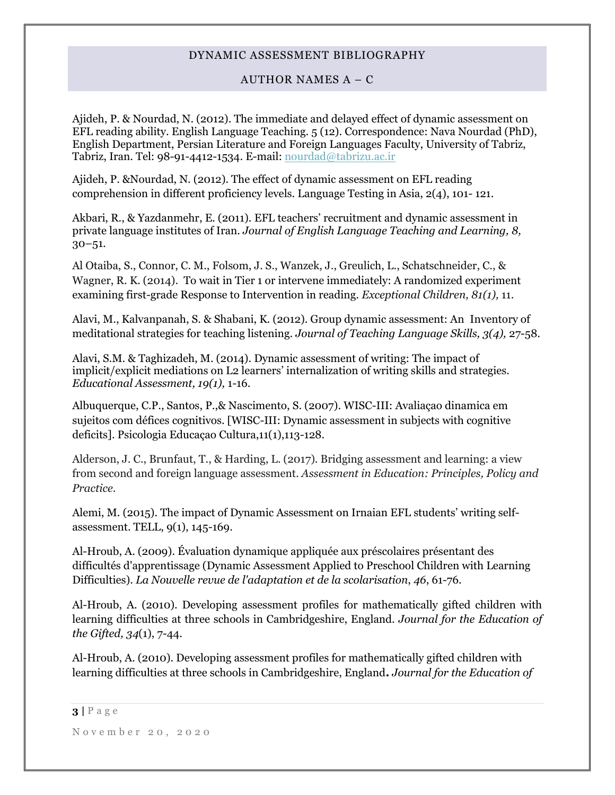# AUTHOR NAMES A – C

Ajideh, P. & Nourdad, N. (2012). The immediate and delayed effect of dynamic assessment on EFL reading ability. English Language Teaching. 5 (12). Correspondence: Nava Nourdad (PhD), English Department, Persian Literature and Foreign Languages Faculty, University of Tabriz, Tabriz, Iran. Tel: 98-91-4412-1534. E-mail: [nourdad@tabrizu.ac.ir](mailto:nourdad@tabrizu.ac.ir)

Ajideh, P. &Nourdad, N. (2012). The effect of dynamic assessment on EFL reading comprehension in different proficiency levels. Language Testing in Asia, 2(4), 101- 121.

Akbari, R., & Yazdanmehr, E. (2011). EFL teachers' recruitment and dynamic assessment in private language institutes of Iran. *Journal of English Language Teaching and Learning, 8,*  30–51.

Al Otaiba, S., Connor, C. M., Folsom, J. S., Wanzek, J., Greulich, L., Schatschneider, C., & Wagner, R. K. (2014). [To wait in Tier 1 or intervene immediately: A randomized experiment](http://connection.ebscohost.com/c/articles/100104537/wait-tier-1-intervene-immediately-randomized-experiment-examining-first-grade-response-intervention-reading)  [examining first-grade Response to Intervention in](http://connection.ebscohost.com/c/articles/100104537/wait-tier-1-intervene-immediately-randomized-experiment-examining-first-grade-response-intervention-reading) reading. *Exceptional Children, 81(1),* 11.

Alavi, M., Kalvanpanah, S. & Shabani, K. (2012). Group dynamic assessment: An Inventory of meditational strategies for teaching listening. *Journal of Teaching Language Skills, 3(4),* 27-58*.*

Alavi, S.M. & Taghizadeh, M. (2014). Dynamic assessment of writing: The impact of implicit/explicit mediations on L2 learners' internalization of writing skills and strategies. *Educational Assessment, 19(1),* 1-16.

Albuquerque, C.P., Santos, P.,& Nascimento, S. (2007). WISC-III: Avaliaçao dinamica em sujeitos com défices cognitivos. [WISC-III: Dynamic assessment in subjects with cognitive deficits]. Psicologia Educaçao Cultura,11(1),113-128.

Alderson, J. C., Brunfaut, T., & Harding, L. (2017). Bridging assessment and learning: a view from second and foreign language assessment. *Assessment in Education: Principles, Policy and Practice*.

Alemi, M. (2015). The impact of Dynamic Assessment on Irnaian EFL students' writing selfassessment. TELL, 9(1), 145-169.

Al-Hroub, A. (2009). Évaluation dynamique appliquée aux préscolaires présentant des difficultés d'apprentissage (Dynamic Assessment Applied to Preschool Children with Learning Difficulties). *[La Nouvelle revue de l'adaptation et de la scolarisation](http://www.refdoc.fr/?traduire=en&FormRechercher=submit&FormRechercher_Txt_Recherche_name_attr=listeTitreSerie:%20(La%20Nouvelle%20revue%20de%20l)*, *46*, 61-76.

Al-Hroub, A. (2010). Developing assessment profiles for mathematically gifted children with learning difficulties at three schools in Cambridgeshire, England. *Journal for the Education of the Gifted, 34*(1), 7-44.

Al-Hroub, A. (2010). Developing assessment profiles for mathematically gifted children with learning difficulties at three schools in Cambridgeshire, England**.** *Journal for the Education of* 

 $3 | P \text{ age}$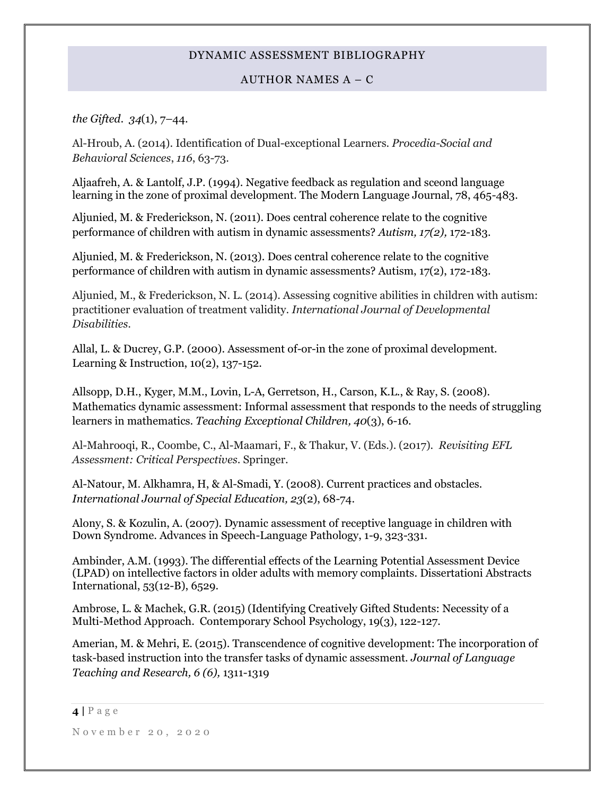# AUTHOR NAMES A – C

*the Gifted*. *34*(1), 7–44.

Al-Hroub, A. (2014). Identification of Dual-exceptional Learners. *Procedia-Social and Behavioral Sciences*, *116*, 63-73.

Aljaafreh, A. & Lantolf, J.P. (1994). Negative feedback as regulation and sceond language learning in the zone of proximal development. The Modern Language Journal, 78, 465-483.

Aljunied, M. & Frederickson, N. (2011). Does central coherence relate to the cognitive performance of children with autism in dynamic assessments? *Autism, 17(2),* 172-183.

Aljunied, M. & Frederickson, N. (2013). Does central coherence relate to the cognitive performance of children with autism in dynamic assessments? Autism, 17(2), 172-183.

Aljunied, M., & Frederickson, N. L. (2014). Assessing cognitive abilities in children with autism: practitioner evaluation of treatment validity. *International Journal of Developmental Disabilities*.

Allal, L. & Ducrey, G.P. (2000). Assessment of-or-in the zone of proximal development. Learning & Instruction, 10(2), 137-152.

Allsopp, D.H., Kyger, M.M., Lovin, L-A, Gerretson, H., Carson, K.L., & Ray, S. (2008). Mathematics dynamic assessment: Informal assessment that responds to the needs of struggling learners in mathematics. *Teaching Exceptional Children, 40*(3), 6-16.

Al-Mahrooqi, R., Coombe, C., Al-Maamari, F., & Thakur, V. (Eds.). (2017). *Revisiting EFL Assessment: Critical Perspectives*. Springer.

Al-Natour, M. Alkhamra, H, & Al-Smadi, Y. (2008). Current practices and obstacles. *International Journal of Special Education, 23*(2), 68-74.

Alony, S. & Kozulin, A. (2007). Dynamic assessment of receptive language in children with Down Syndrome. Advances in Speech-Language Pathology, 1-9, 323-331.

Ambinder, A.M. (1993). The differential effects of the Learning Potential Assessment Device (LPAD) on intellective factors in older adults with memory complaints. Dissertationi Abstracts International, 53(12-B), 6529.

Ambrose, L. & Machek, G.R. (2015) (Identifying Creatively Gifted Students: Necessity of a Multi-Method Approach. Contemporary School Psychology, 19(3), 122-127.

Amerian, M. & Mehri, E. (2015). Transcendence of cognitive development: The incorporation of task-based instruction into the transfer tasks of dynamic assessment. *Journal of Language Teaching and Research, 6 (6),* 1311-1319

### **4 |** P a g e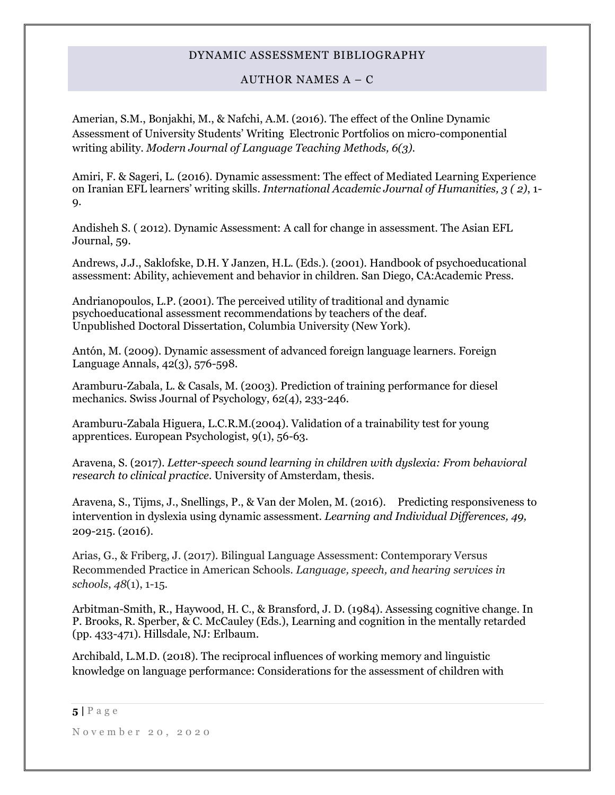# AUTHOR NAMES  $A - C$

Amerian, S.M., Bonjakhi, M., & Nafchi, A.M. (2016). The effect of the Online Dynamic Assessment of University Students' Writing Electronic Portfolios on micro-componential writing ability. *Modern Journal of Language Teaching Methods, 6(3).*

Amiri, F. & Sageri, L. (2016). Dynamic assessment: The effect of Mediated Learning Experience on Iranian EFL learners' writing skills*. International Academic Journal of Humanities, 3 ( 2)*, 1- 9.

Andisheh S. ( 2012). Dynamic Assessment: A call for change in assessment. The Asian EFL Journal, 59.

Andrews, J.J., Saklofske, D.H. Y Janzen, H.L. (Eds.). (2001). Handbook of psychoeducational assessment: Ability, achievement and behavior in children. San Diego, CA:Academic Press.

Andrianopoulos, L.P. (2001). The perceived utility of traditional and dynamic psychoeducational assessment recommendations by teachers of the deaf. Unpublished Doctoral Dissertation, Columbia University (New York).

Antón, M. (2009). Dynamic assessment of advanced foreign language learners. Foreign Language Annals, 42(3), 576-598.

Aramburu-Zabala, L. & Casals, M. (2003). Prediction of training performance for diesel mechanics. Swiss Journal of Psychology, 62(4), 233-246.

Aramburu-Zabala Higuera, L.C.R.M.(2004). Validation of a trainability test for young apprentices. European Psychologist, 9(1), 56-63.

Aravena, S. (2017). *Letter-speech sound learning in children with dyslexia: From behavioral research to clinical practice*. University of Amsterdam, thesis.

Aravena, S., Tijms, J., Snellings, P., & Van der Molen, M. (2016). Predicting responsiveness to intervention in dyslexia using dynamic assessment. *Learning and Individual Differences, 49,*  209-215. (2016).

Arias, G., & Friberg, J. (2017). Bilingual Language Assessment: Contemporary Versus Recommended Practice in American Schools. *Language, speech, and hearing services in schools*, *48*(1), 1-15.

Arbitman-Smith, R., Haywood, H. C., & Bransford, J. D. (1984). Assessing cognitive change. In P. Brooks, R. Sperber, & C. McCauley (Eds.), Learning and cognition in the mentally retarded (pp. 433-471). Hillsdale, NJ: Erlbaum.

Archibald, L.M.D. (2018). The reciprocal influences of working memory and linguistic knowledge on language performance: Considerations for the assessment of children with

### $5|$   $P$  a g e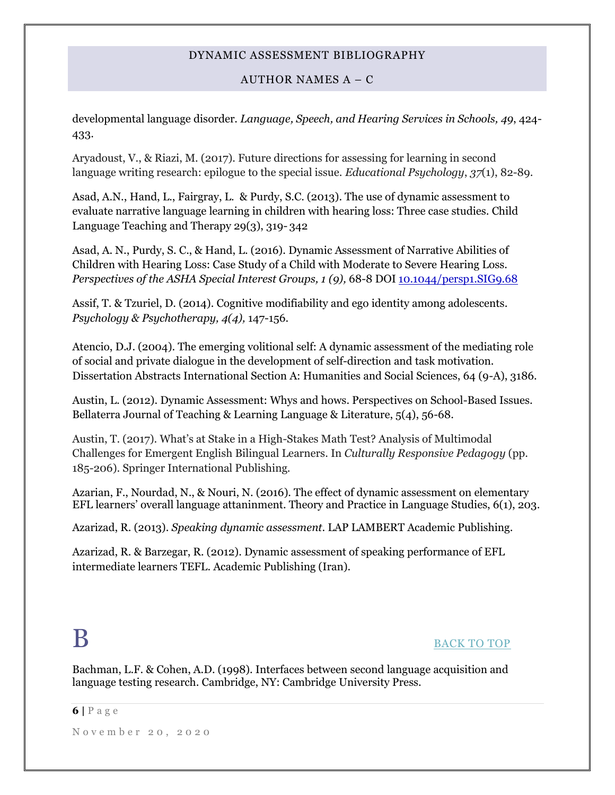# AUTHOR NAMES A – C

developmental language disorder. *Language, Speech, and Hearing Services in Schools, 49*, 424- 433.

Aryadoust, V., & Riazi, M. (2017). Future directions for assessing for learning in second language writing research: epilogue to the special issue. *Educational Psychology*, *37*(1), 82-89.

Asad, A.N., Hand, L., Fairgray, L. & Purdy, S.C. (2013). The use of dynamic assessment to evaluate narrative language learning in children with hearing loss: Three case studies. Child Language Teaching and Therapy 29(3), 319- 342

Asad, A. N., Purdy, S. C., & Hand, L. (2016). Dynamic Assessment of Narrative Abilities of Children with Hearing Loss: Case Study of a Child with Moderate to Severe Hearing Loss. *Perspectives of the ASHA Special Interest Groups, 1 (9), 68-8 DOI* 10.1044/persp1.SIG9.68

Assif, T. & Tzuriel, D. (2014). Cognitive modifiability and ego identity among adolescents. *Psychology & Psychotherapy, 4(4),* 147-156.

Atencio, D.J. (2004). The emerging volitional self: A dynamic assessment of the mediating role of social and private dialogue in the development of self-direction and task motivation. Dissertation Abstracts International Section A: Humanities and Social Sciences, 64 (9-A), 3186.

Austin, L. (2012). Dynamic Assessment: Whys and hows. Perspectives on School-Based Issues. Bellaterra Journal of Teaching & Learning Language & Literature, 5(4), 56-68.

Austin, T. (2017). What's at Stake in a High-Stakes Math Test? Analysis of Multimodal Challenges for Emergent English Bilingual Learners. In *Culturally Responsive Pedagogy* (pp. 185-206). Springer International Publishing.

Azarian, F., Nourdad, N., & Nouri, N. (2016). The effect of dynamic assessment on elementary EFL learners' overall language attaninment. Theory and Practice in Language Studies, 6(1), 203.

Azarizad, R. (2013). *Speaking dynamic assessment*. LAP LAMBERT Academic Publishing.

<span id="page-5-0"></span>Azarizad, R. & Barzegar, R. (2012). Dynamic assessment of speaking performance of EFL intermediate learners TEFL. Academic Publishing (Iran).

# [BACK TO TOP](#page-0-1)

Bachman, L.F. & Cohen, A.D. (1998). Interfaces between second language acquisition and language testing research. Cambridge, NY: Cambridge University Press.

#### **6 |** P a g e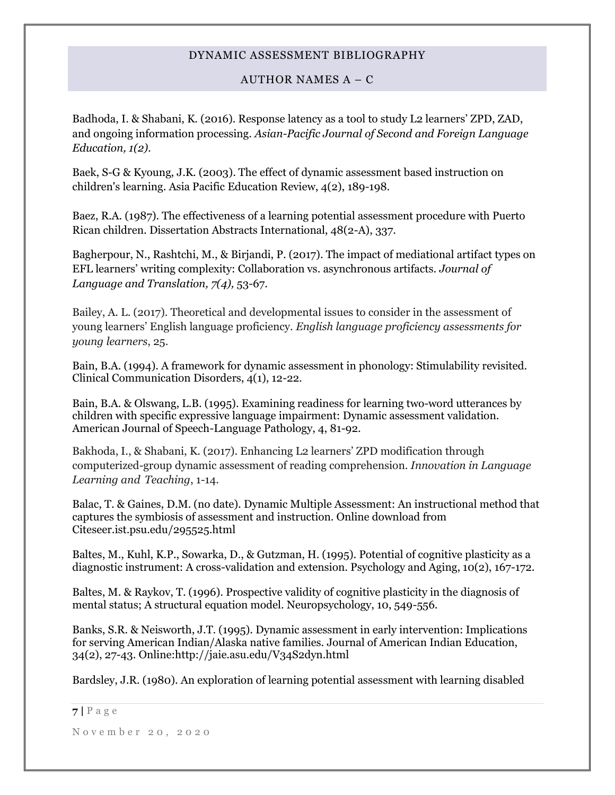# AUTHOR NAMES  $A - C$

Badhoda, I. & Shabani, K. (2016). Response latency as a tool to study L2 learners' ZPD, ZAD, and ongoing information processing. *Asian-Pacific Journal of Second and Foreign Language Education, 1(2).* 

Baek, S-G & Kyoung, J.K. (2003). The effect of dynamic assessment based instruction on children's learning. Asia Pacific Education Review, 4(2), 189-198.

Baez, R.A. (1987). The effectiveness of a learning potential assessment procedure with Puerto Rican children. Dissertation Abstracts International, 48(2-A), 337.

Bagherpour, N., Rashtchi, M., & Birjandi, P. (2017). The impact of mediational artifact types on EFL learners' writing complexity: Collaboration vs. asynchronous artifacts. *Journal of Language and Translation, 7(4),* 53-67.

Bailey, A. L. (2017). Theoretical and developmental issues to consider in the assessment of young learners' English language proficiency. *English language proficiency assessments for young learners*, 25.

Bain, B.A. (1994). A framework for dynamic assessment in phonology: Stimulability revisited. Clinical Communication Disorders, 4(1), 12-22.

Bain, B.A. & Olswang, L.B. (1995). Examining readiness for learning two-word utterances by children with specific expressive language impairment: Dynamic assessment validation. American Journal of Speech-Language Pathology, 4, 81-92.

Bakhoda, I., & Shabani, K. (2017). Enhancing L2 learners' ZPD modification through computerized-group dynamic assessment of reading comprehension. *Innovation in Language Learning and Teaching*, 1-14.

Balac, T. & Gaines, D.M. (no date). Dynamic Multiple Assessment: An instructional method that captures the symbiosis of assessment and instruction. Online download from Citeseer.ist.psu.edu/295525.html

Baltes, M., Kuhl, K.P., Sowarka, D., & Gutzman, H. (1995). Potential of cognitive plasticity as a diagnostic instrument: A cross-validation and extension. Psychology and Aging, 10(2), 167-172.

Baltes, M. & Raykov, T. (1996). Prospective validity of cognitive plasticity in the diagnosis of mental status; A structural equation model. Neuropsychology, 10, 549-556.

Banks, S.R. & Neisworth, J.T. (1995). Dynamic assessment in early intervention: Implications for serving American Indian/Alaska native families. Journal of American Indian Education, 34(2), 27-43. Online:http://jaie.asu.edu/V34S2dyn.html

Bardsley, J.R. (1980). An exploration of learning potential assessment with learning disabled

**<sup>7</sup> |** P a g e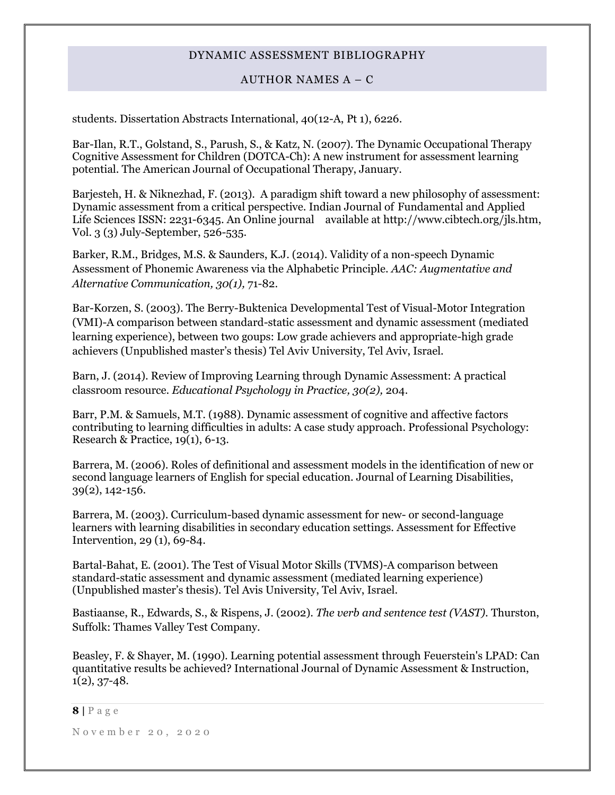# AUTHOR NAMES  $A - C$

students. Dissertation Abstracts International, 40(12-A, Pt 1), 6226.

Bar-Ilan, R.T., Golstand, S., Parush, S., & Katz, N. (2007). The Dynamic Occupational Therapy Cognitive Assessment for Children (DOTCA-Ch): A new instrument for assessment learning potential. The American Journal of Occupational Therapy, January.

Barjesteh, H. & Niknezhad, F. (2013). A paradigm shift toward a new philosophy of assessment: Dynamic assessment from a critical perspective. Indian Journal of Fundamental and Applied Life Sciences ISSN: 2231-6345. An Online journal available at http://www.cibtech.org/jls.htm, Vol. 3 (3) July-September, 526-535.

Barker, R.M., Bridges, M.S. & Saunders, K.J. (2014). Validity of a non-speech Dynamic Assessment of Phonemic Awareness via the Alphabetic Principle. *AAC: Augmentative and Alternative Communication, 30(1),* 71-82.

Bar-Korzen, S. (2003). The Berry-Buktenica Developmental Test of Visual-Motor Integration (VMI)-A comparison between standard-static assessment and dynamic assessment (mediated learning experience), between two goups: Low grade achievers and appropriate-high grade achievers (Unpublished master's thesis) Tel Aviv University, Tel Aviv, Israel.

Barn, J. (2014). Review of Improving Learning through Dynamic Assessment: A practical classroom resource. *Educational Psychology in Practice, 30(2),* 204.

Barr, P.M. & Samuels, M.T. (1988). Dynamic assessment of cognitive and affective factors contributing to learning difficulties in adults: A case study approach. Professional Psychology: Research & Practice, 19(1), 6-13.

Barrera, M. (2006). Roles of definitional and assessment models in the identification of new or second language learners of English for special education. Journal of Learning Disabilities, 39(2), 142-156.

Barrera, M. (2003). Curriculum-based dynamic assessment for new- or second-language learners with learning disabilities in secondary education settings. Assessment for Effective Intervention, 29 (1), 69-84.

Bartal-Bahat, E. (2001). The Test of Visual Motor Skills (TVMS)-A comparison between standard-static assessment and dynamic assessment (mediated learning experience) (Unpublished master's thesis). Tel Avis University, Tel Aviv, Israel.

Bastiaanse, R., Edwards, S., & Rispens, J. (2002). *The verb and sentence test (VAST).* Thurston, Suffolk: Thames Valley Test Company.

Beasley, F. & Shayer, M. (1990). Learning potential assessment through Feuerstein's LPAD: Can quantitative results be achieved? International Journal of Dynamic Assessment & Instruction,  $1(2), 37-48.$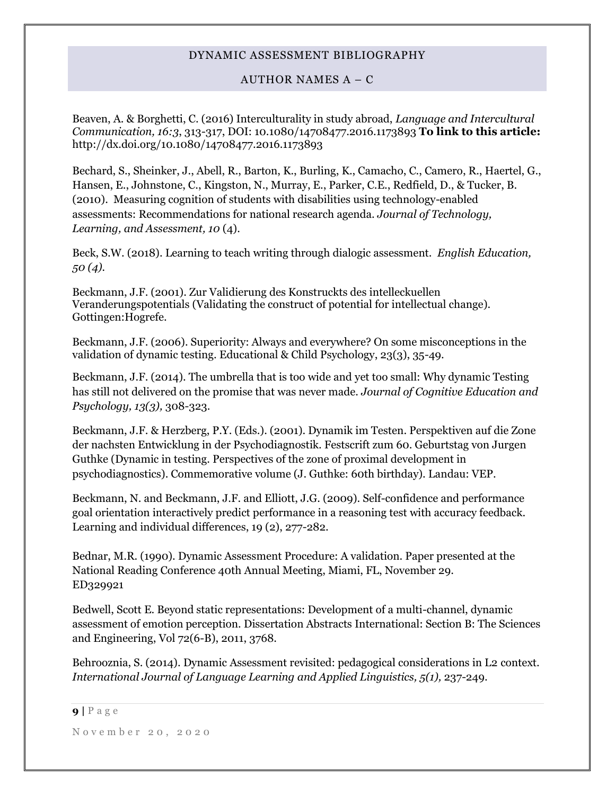# AUTHOR NAMES A – C

Beaven, A. & Borghetti, C. (2016) Interculturality in study abroad, *Language and Intercultural Communication, 16:3*, 313-317, DOI: 10.1080/14708477.2016.1173893 **To link to this article:**  http://dx.doi.org/10.1080/14708477.2016.1173893

Bechard, S., Sheinker, J., Abell, R., Barton, K., Burling, K., Camacho, C., Camero, R., Haertel, G., Hansen, E., Johnstone, C., Kingston, N., Murray, E., Parker, C.E., Redfield, D., & Tucker, B. (2010). Measuring cognition of students with disabilities using technology-enabled assessments: Recommendations for national research agenda. *Journal of Technology, Learning, and Assessment, 10* (4).

Beck, S.W. (2018). Learning to teach writing through dialogic assessment. *English Education, 50 (4).*

Beckmann, J.F. (2001). Zur Validierung des Konstruckts des intelleckuellen Veranderungspotentials (Validating the construct of potential for intellectual change). Gottingen:Hogrefe.

Beckmann, J.F. (2006). Superiority: Always and everywhere? On some misconceptions in the validation of dynamic testing. Educational & Child Psychology, 23(3), 35-49.

Beckmann, J.F. (2014). The umbrella that is too wide and yet too small: Why dynamic Testing has still not delivered on the promise that was never made. *Journal of Cognitive Education and Psychology, 13(3),* 308-323.

Beckmann, J.F. & Herzberg, P.Y. (Eds.). (2001). Dynamik im Testen. Perspektiven auf die Zone der nachsten Entwicklung in der Psychodiagnostik. Festscrift zum 60. Geburtstag von Jurgen Guthke (Dynamic in testing. Perspectives of the zone of proximal development in psychodiagnostics). Commemorative volume (J. Guthke: 60th birthday). Landau: VEP.

Beckmann, N. and Beckmann, J.F. and Elliott, J.G. (2009). Self-confidence and performance goal orientation interactively predict performance in a reasoning test with accuracy feedback. Learning and individual differences, 19 (2), 277-282.

Bednar, M.R. (1990). Dynamic Assessment Procedure: A validation. Paper presented at the National Reading Conference 40th Annual Meeting, Miami, FL, November 29. ED329921

Bedwell, Scott E. Beyond static representations: Development of a multi-channel, dynamic assessment of emotion perception. Dissertation Abstracts International: Section B: The Sciences and Engineering, Vol 72(6-B), 2011, 3768.

Behrooznia, S. (2014). Dynamic Assessment revisited: pedagogical considerations in L2 context. *International Journal of Language Learning and Applied Linguistics, 5(1),* 237-249.

**<sup>9</sup> |** P a g e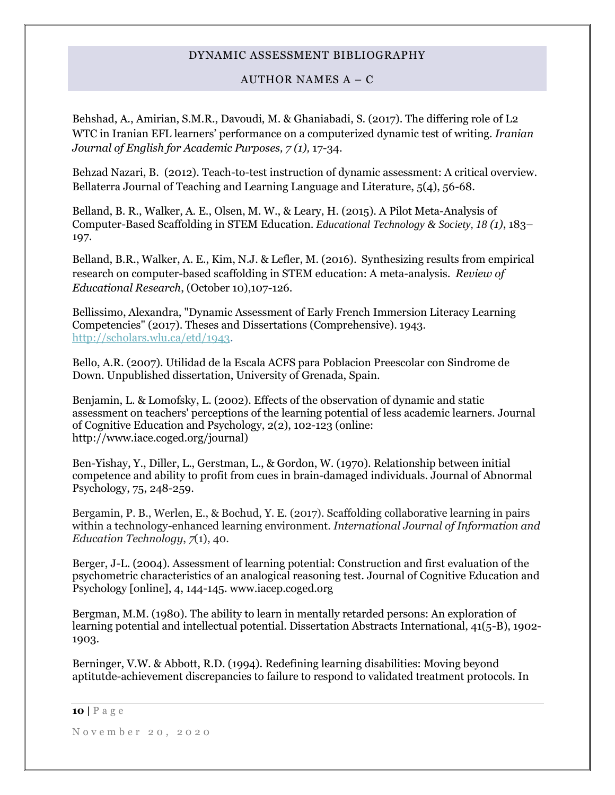# AUTHOR NAMES A – C

Behshad, A., Amirian, S.M.R., Davoudi, M. & Ghaniabadi, S. (2017). The differing role of L2 WTC in Iranian EFL learners' performance on a computerized dynamic test of writing*. Iranian Journal of English for Academic Purposes, 7 (1),* 17-34.

Behzad Nazari, B. (2012). Teach-to-test instruction of dynamic assessment: A critical overview. Bellaterra Journal of Teaching and Learning Language and Literature, 5(4), 56-68.

Belland, B. R., Walker, A. E., Olsen, M. W., & Leary, H. (2015). A Pilot Meta-Analysis of Computer-Based Scaffolding in STEM Education. *Educational Technology & Society, 18 (1)*, 183– 197.

Belland, B.R., Walker, A. E., Kim, N.J. & Lefler, M. (2016). Synthesizing results from empirical research on computer-based scaffolding in STEM education: A meta-analysis. *Review of Educational Research*, (October 10),107-126.

Bellissimo, Alexandra, "Dynamic Assessment of Early French Immersion Literacy Learning Competencies" (2017). Theses and Dissertations (Comprehensive). 1943. [http://scholars.wlu.ca/etd/1943.](http://scholars.wlu.ca/etd/1943)

Bello, A.R. (2007). Utilidad de la Escala ACFS para Poblacion Preescolar con Sindrome de Down. Unpublished dissertation, University of Grenada, Spain.

Benjamin, L. & Lomofsky, L. (2002). Effects of the observation of dynamic and static assessment on teachers' perceptions of the learning potential of less academic learners. Journal of Cognitive Education and Psychology, 2(2), 102-123 (online: http://www.iace.coged.org/journal)

Ben-Yishay, Y., Diller, L., Gerstman, L., & Gordon, W. (1970). Relationship between initial competence and ability to profit from cues in brain-damaged individuals. Journal of Abnormal Psychology, 75, 248-259.

Bergamin, P. B., Werlen, E., & Bochud, Y. E. (2017). Scaffolding collaborative learning in pairs within a technology-enhanced learning environment. *International Journal of Information and Education Technology*, *7*(1), 40.

Berger, J-L. (2004). Assessment of learning potential: Construction and first evaluation of the psychometric characteristics of an analogical reasoning test. Journal of Cognitive Education and Psychology [online], 4, 144-145. www.iacep.coged.org

Bergman, M.M. (1980). The ability to learn in mentally retarded persons: An exploration of learning potential and intellectual potential. Dissertation Abstracts International, 41(5-B), 1902- 1903.

Berninger, V.W. & Abbott, R.D. (1994). Redefining learning disabilities: Moving beyond aptitutde-achievement discrepancies to failure to respond to validated treatment protocols. In

#### **10 |** P a g e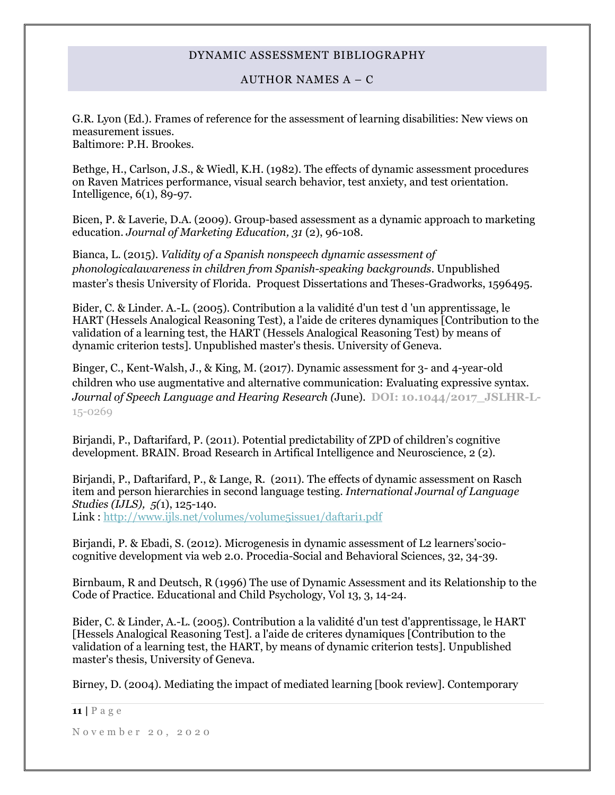# AUTHOR NAMES A – C

G.R. Lyon (Ed.). Frames of reference for the assessment of learning disabilities: New views on measurement issues. Baltimore: P.H. Brookes.

Bethge, H., Carlson, J.S., & Wiedl, K.H. (1982). The effects of dynamic assessment procedures on Raven Matrices performance, visual search behavior, test anxiety, and test orientation. Intelligence, 6(1), 89-97.

Bicen, P. & Laverie, D.A. (2009). Group-based assessment as a dynamic approach to marketing education. *Journal of Marketing Education, 31* (2), 96-108.

Bianca, L. (2015). *Validity of a Spanish nonspeech dynamic assessment of phonologicalawareness in children from Spanish-speaking backgrounds*. Unpublished master's thesis University of Florida. Proquest Dissertations and Theses-Gradworks, 1596495.

Bider, C. & Linder. A.-L. (2005). Contribution a la validité d'un test d 'un apprentissage, le HART (Hessels Analogical Reasoning Test), a l'aide de criteres dynamiques [Contribution to the validation of a learning test, the HART (Hessels Analogical Reasoning Test) by means of dynamic criterion tests]. Unpublished master's thesis. University of Geneva.

Binger, C., Kent-Walsh, J., & King, M. (2017). Dynamic assessment for 3- and 4-year-old children who use augmentative and alternative communication: Evaluating expressive syntax. *Journal of Speech Language and Hearing Research (*June). **DOI: 10.1044/2017\_JSLHR-L-**15-0269

Birjandi, P., Daftarifard, P. (2011). Potential predictability of ZPD of children's cognitive development. BRAIN. Broad Research in Artifical Intelligence and Neuroscience, 2 (2).

Birjandi, P., Daftarifard, P., & Lange, R. (2011). The effects of dynamic assessment on Rasch item and person hierarchies in second language testing. *International Journal of Language Studies (IJLS), 5(*1), 125-140. Link :<http://www.ijls.net/volumes/volume5issue1/daftari1.pdf>

Birjandi, P. & Ebadi, S. (2012). Microgenesis in dynamic assessment of L2 learners'sociocognitive development via web 2.0. Procedia-Social and Behavioral Sciences, 32, 34-39.

Birnbaum, R and Deutsch, R (1996) The use of Dynamic Assessment and its Relationship to the Code of Practice. Educational and Child Psychology, Vol 13, 3, 14-24.

Bider, C. & Linder, A.-L. (2005). Contribution a la validité d'un test d'apprentissage, le HART [Hessels Analogical Reasoning Test]. a l'aide de criteres dynamiques [Contribution to the validation of a learning test, the HART, by means of dynamic criterion tests]. Unpublished master's thesis, University of Geneva.

Birney, D. (2004). Mediating the impact of mediated learning [book review]. Contemporary

**11 |** P a g e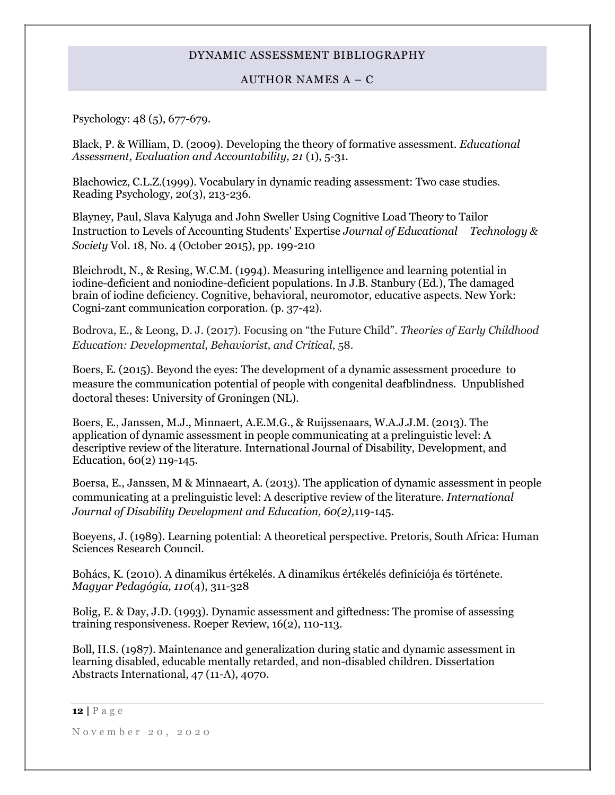# AUTHOR NAMES A – C

Psychology: 48 (5), 677-679.

Black, P. & William, D. (2009). Developing the theory of formative assessment. *Educational Assessment, Evaluation and Accountability, 21* (1), 5-31.

Blachowicz, C.L.Z.(1999). Vocabulary in dynamic reading assessment: Two case studies. Reading Psychology, 20(3), 213-236.

Blayney, Paul, Slava Kalyuga and John Sweller Using Cognitive Load Theory to Tailor Instruction to Levels of Accounting Students' Expertise *Journal of Educational Technology & Society* Vol. 18, No. 4 (October 2015), pp. 199-210

Bleichrodt, N., & Resing, W.C.M. (1994). Measuring intelligence and learning potential in iodine-deficient and noniodine-deficient populations. In J.B. Stanbury (Ed.), The damaged brain of iodine deficiency. Cognitive, behavioral, neuromotor, educative aspects. New York: Cogni-zant communication corporation. (p. 37-42).

Bodrova, E., & Leong, D. J. (2017). Focusing on "the Future Child". *Theories of Early Childhood Education: Developmental, Behaviorist, and Critical*, 58.

Boers, E. (2015). Beyond the eyes: The development of a dynamic assessment procedure to measure the communication potential of people with congenital deafblindness. Unpublished doctoral theses: University of Groningen (NL).

Boers, E., Janssen, M.J., Minnaert, A.E.M.G., & Ruijssenaars, W.A.J.J.M. (2013). The application of dynamic assessment in people communicating at a prelinguistic level: A descriptive review of the literature. International Journal of Disability, Development, and Education, 60(2) 119-145.

Boersa, E., Janssen, M & Minnaeart, A. (2013). The application of dynamic assessment in people communicating at a prelinguistic level: A descriptive review of the literature. *International Journal of Disability Development and Education, 60(2),*119-145.

Boeyens, J. (1989). Learning potential: A theoretical perspective. Pretoris, South Africa: Human Sciences Research Council.

Bohács, K. (2010). A dinamikus értékelés. A dinamikus értékelés definíciója és története. *Magyar Pedagógia, 110*(4), 311-328

Bolig, E. & Day, J.D. (1993). Dynamic assessment and giftedness: The promise of assessing training responsiveness. Roeper Review, 16(2), 110-113.

Boll, H.S. (1987). Maintenance and generalization during static and dynamic assessment in learning disabled, educable mentally retarded, and non-disabled children. Dissertation Abstracts International, 47 (11-A), 4070.

**<sup>12</sup> |** P a g e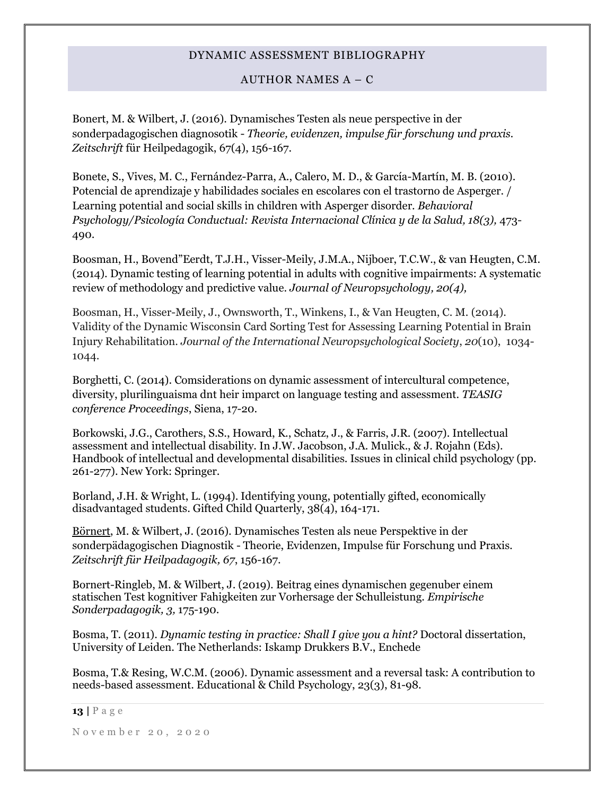# AUTHOR NAMES  $A - C$

Bonert, M. & Wilbert, J. (2016). Dynamisches Testen als neue perspective in der sonderpadagogischen diagnosotik - *Theorie, evidenzen, impulse für forschung und praxis. Zeitschrift* für Heilpedagogik, 67(4), 156-167.

Bonete, S., Vives, M. C., Fernández-Parra, A., Calero, M. D., & García-Martín, M. B. (2010). Potencial de aprendizaje y habilidades sociales en escolares con el trastorno de Asperger. / Learning potential and social skills in children with Asperger disorder. *Behavioral Psychology/Psicología Conductual: Revista Internacional Clínica y de la Salud, 18(3),* 473- 490.

Boosman, H., Bovend"Eerdt, T.J.H., Visser-Meily, J.M.A., Nijboer, T.C.W., & van Heugten, C.M. (2014). Dynamic testing of learning potential in adults with cognitive impairments: A systematic review of methodology and predictive value. *Journal of Neuropsychology, 20(4),* 

Boosman, H., Visser-Meily, J., Ownsworth, T., Winkens, I., & Van Heugten, C. M. (2014). Validity of the Dynamic Wisconsin Card Sorting Test for Assessing Learning Potential in Brain Injury Rehabilitation. *Journal of the International Neuropsychological Society*, *20*(10), 1034- 1044.

Borghetti, C. (2014). Comsiderations on dynamic assessment of intercultural competence, diversity, plurilinguaisma dnt heir imparct on language testing and assessment. *TEASIG conference Proceedings*, Siena, 17-20.

Borkowski, J.G., Carothers, S.S., Howard, K., Schatz, J., & Farris, J.R. (2007). Intellectual assessment and intellectual disability. In J.W. Jacobson, J.A. Mulick., & J. Rojahn (Eds). Handbook of intellectual and developmental disabilities. Issues in clinical child psychology (pp. 261-277). New York: Springer.

Borland, J.H. & Wright, L. (1994). Identifying young, potentially gifted, economically disadvantaged students. Gifted Child Quarterly, 38(4), 164-171.

[Börnert,](https://www.researchgate.net/profile/Moritz_Boernert) M. & Wilbert, J. (2016). Dynamisches Testen als neue Perspektive in der sonderpädagogischen Diagnostik - Theorie, Evidenzen, Impulse für Forschung und Praxis*. Zeitschrift für Heilpadagogik, 67*, 156-167.

Bornert-Ringleb, M. & Wilbert, J. (2019). Beitrag eines dynamischen gegenuber einem statischen Test kognitiver Fahigkeiten zur Vorhersage der Schulleistung. *Empirische Sonderpadagogik, 3,* 175-190.

Bosma, T. (2011). *Dynamic testing in practice: Shall I give you a hint?* Doctoral dissertation, University of Leiden. The Netherlands: Iskamp Drukkers B.V., Enchede

Bosma, T.& Resing, W.C.M. (2006). Dynamic assessment and a reversal task: A contribution to needs-based assessment. Educational & Child Psychology, 23(3), 81-98.

#### **13 |** P a g e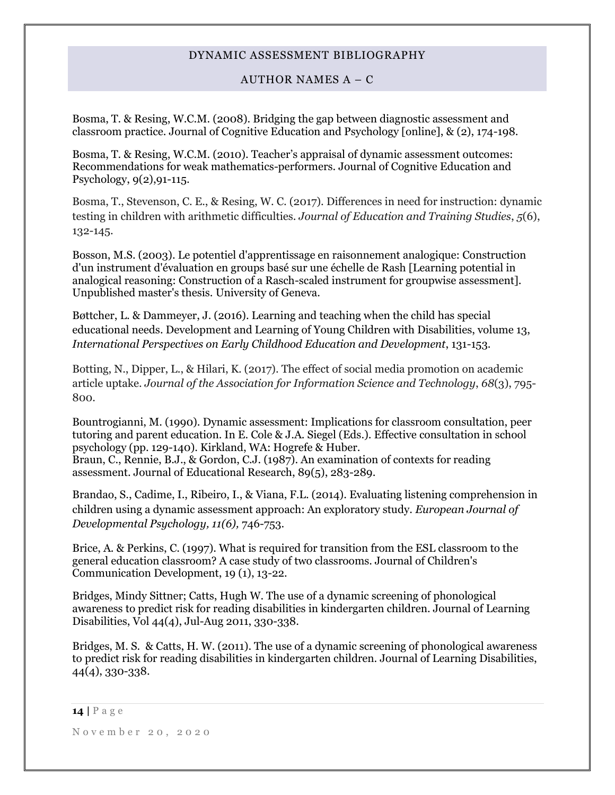# AUTHOR NAMES A – C

Bosma, T. & Resing, W.C.M. (2008). Bridging the gap between diagnostic assessment and classroom practice. Journal of Cognitive Education and Psychology [online], & (2), 174-198.

Bosma, T. & Resing, W.C.M. (2010). Teacher's appraisal of dynamic assessment outcomes: Recommendations for weak mathematics-performers. Journal of Cognitive Education and Psychology, 9(2),91-115.

Bosma, T., Stevenson, C. E., & Resing, W. C. (2017). Differences in need for instruction: dynamic testing in children with arithmetic difficulties. *Journal of Education and Training Studies*, *5*(6), 132-145.

Bosson, M.S. (2003). Le potentiel d'apprentissage en raisonnement analogique: Construction d'un instrument d'évaluation en groups basé sur une échelle de Rash [Learning potential in analogical reasoning: Construction of a Rasch-scaled instrument for groupwise assessment]. Unpublished master's thesis. University of Geneva.

Bøttcher, L. & Dammeyer, J. (2016). Learning and teaching when the child has special educational needs. Development and Learning of Young Children with Disabilities, volume 13, *International Perspectives on Early Childhood Education and Development*, 131-153.

Botting, N., Dipper, L., & Hilari, K. (2017). The effect of social media promotion on academic article uptake. *Journal of the Association for Information Science and Technology*, *68*(3), 795- 800.

Bountrogianni, M. (1990). Dynamic assessment: Implications for classroom consultation, peer tutoring and parent education. In E. Cole & J.A. Siegel (Eds.). Effective consultation in school psychology (pp. 129-140). Kirkland, WA: Hogrefe & Huber. Braun, C., Rennie, B.J., & Gordon, C.J. (1987). An examination of contexts for reading assessment. Journal of Educational Research, 89(5), 283-289.

Brandao, S., Cadime, I., Ribeiro, I., & Viana, F.L. (2014). Evaluating listening comprehension in children using a dynamic assessment approach: An exploratory study. *European Journal of Developmental Psychology, 11(6),* 746-753.

Brice, A. & Perkins, C. (1997). What is required for transition from the ESL classroom to the general education classroom? A case study of two classrooms. Journal of Children's Communication Development, 19 (1), 13-22.

Bridges, Mindy Sittner; Catts, Hugh W. The use of a dynamic screening of phonological awareness to predict risk for reading disabilities in kindergarten children. Journal of Learning Disabilities, Vol 44(4), Jul-Aug 2011, 330-338.

Bridges, M. S. & Catts, H. W. (2011). The use of a dynamic screening of phonological awareness to predict risk for reading disabilities in kindergarten children. Journal of Learning Disabilities, 44(4), 330-338.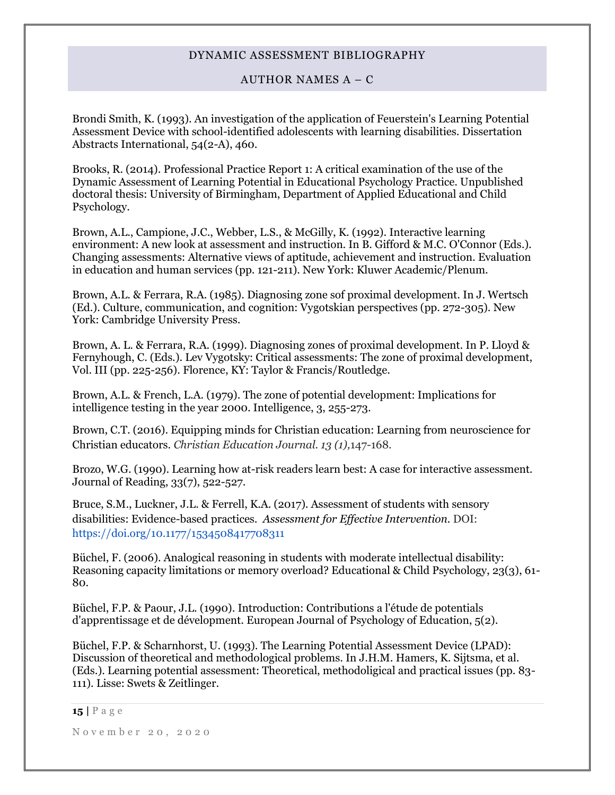### AUTHOR NAMES  $A - C$

Brondi Smith, K. (1993). An investigation of the application of Feuerstein's Learning Potential Assessment Device with school-identified adolescents with learning disabilities. Dissertation Abstracts International, 54(2-A), 460.

Brooks, R. (2014). Professional Practice Report 1: A critical examination of the use of the Dynamic Assessment of Learning Potential in Educational Psychology Practice. Unpublished doctoral thesis: University of Birmingham, Department of Applied Educational and Child Psychology.

Brown, A.L., Campione, J.C., Webber, L.S., & McGilly, K. (1992). Interactive learning environment: A new look at assessment and instruction. In B. Gifford & M.C. O'Connor (Eds.). Changing assessments: Alternative views of aptitude, achievement and instruction. Evaluation in education and human services (pp. 121-211). New York: Kluwer Academic/Plenum.

Brown, A.L. & Ferrara, R.A. (1985). Diagnosing zone sof proximal development. In J. Wertsch (Ed.). Culture, communication, and cognition: Vygotskian perspectives (pp. 272-305). New York: Cambridge University Press.

Brown, A. L. & Ferrara, R.A. (1999). Diagnosing zones of proximal development. In P. Lloyd & Fernyhough, C. (Eds.). Lev Vygotsky: Critical assessments: The zone of proximal development, Vol. III (pp. 225-256). Florence, KY: Taylor & Francis/Routledge.

Brown, A.L. & French, L.A. (1979). The zone of potential development: Implications for intelligence testing in the year 2000. Intelligence, 3, 255-273.

Brown, C.T. (2016). Equipping minds for Christian education: Learning from neuroscience for Christian educators. *Christian Education Journal. 13 (1),*147-168.

Brozo, W.G. (1990). Learning how at-risk readers learn best: A case for interactive assessment. Journal of Reading, 33(7), 522-527.

Bruce, S.M., Luckner, J.L. & Ferrell, K.A. (2017). Assessment of students with sensory disabilities: Evidence-based practices. *Assessment for Effective Intervention.* DOI: <https://doi.org/10.1177/1534508417708311>

Büchel, F. (2006). Analogical reasoning in students with moderate intellectual disability: Reasoning capacity limitations or memory overload? Educational & Child Psychology, 23(3), 61- 80.

Büchel, F.P. & Paour, J.L. (1990). Introduction: Contributions a l'étude de potentials d'apprentissage et de dévelopment. European Journal of Psychology of Education, 5(2).

Büchel, F.P. & Scharnhorst, U. (1993). The Learning Potential Assessment Device (LPAD): Discussion of theoretical and methodological problems. In J.H.M. Hamers, K. Sijtsma, et al. (Eds.). Learning potential assessment: Theoretical, methodoligical and practical issues (pp. 83- 111). Lisse: Swets & Zeitlinger.

**15 |** P a g e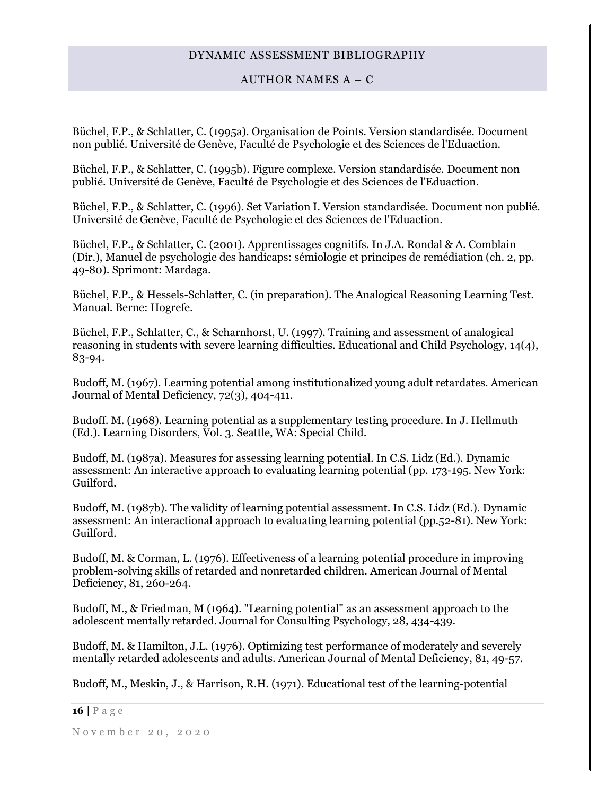# AUTHOR NAMES A – C

Büchel, F.P., & Schlatter, C. (1995a). Organisation de Points. Version standardisée. Document non publié. Université de Genève, Faculté de Psychologie et des Sciences de l'Eduaction.

Büchel, F.P., & Schlatter, C. (1995b). Figure complexe. Version standardisée. Document non publié. Université de Genève, Faculté de Psychologie et des Sciences de l'Eduaction.

Büchel, F.P., & Schlatter, C. (1996). Set Variation I. Version standardisée. Document non publié. Université de Genève, Faculté de Psychologie et des Sciences de l'Eduaction.

Büchel, F.P., & Schlatter, C. (2001). Apprentissages cognitifs. In J.A. Rondal & A. Comblain (Dir.), Manuel de psychologie des handicaps: sémiologie et principes de remédiation (ch. 2, pp. 49-80). Sprimont: Mardaga.

Büchel, F.P., & Hessels-Schlatter, C. (in preparation). The Analogical Reasoning Learning Test. Manual. Berne: Hogrefe.

Büchel, F.P., Schlatter, C., & Scharnhorst, U. (1997). Training and assessment of analogical reasoning in students with severe learning difficulties. Educational and Child Psychology, 14(4), 83-94.

Budoff, M. (1967). Learning potential among institutionalized young adult retardates. American Journal of Mental Deficiency, 72(3), 404-411.

Budoff. M. (1968). Learning potential as a supplementary testing procedure. In J. Hellmuth (Ed.). Learning Disorders, Vol. 3. Seattle, WA: Special Child.

Budoff, M. (1987a). Measures for assessing learning potential. In C.S. Lidz (Ed.). Dynamic assessment: An interactive approach to evaluating learning potential (pp. 173-195. New York: Guilford.

Budoff, M. (1987b). The validity of learning potential assessment. In C.S. Lidz (Ed.). Dynamic assessment: An interactional approach to evaluating learning potential (pp.52-81). New York: Guilford.

Budoff, M. & Corman, L. (1976). Effectiveness of a learning potential procedure in improving problem-solving skills of retarded and nonretarded children. American Journal of Mental Deficiency, 81, 260-264.

Budoff, M., & Friedman, M (1964). "Learning potential" as an assessment approach to the adolescent mentally retarded. Journal for Consulting Psychology, 28, 434-439.

Budoff, M. & Hamilton, J.L. (1976). Optimizing test performance of moderately and severely mentally retarded adolescents and adults. American Journal of Mental Deficiency, 81, 49-57.

Budoff, M., Meskin, J., & Harrison, R.H. (1971). Educational test of the learning-potential

#### **16 |** P a g e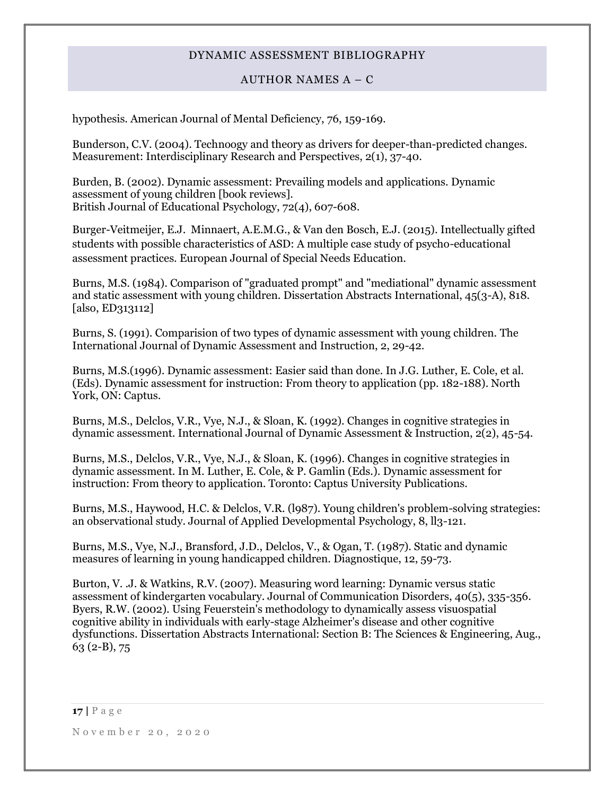# AUTHOR NAMES A – C

hypothesis. American Journal of Mental Deficiency, 76, 159-169.

Bunderson, C.V. (2004). Technoogy and theory as drivers for deeper-than-predicted changes. Measurement: Interdisciplinary Research and Perspectives, 2(1), 37-40.

Burden, B. (2002). Dynamic assessment: Prevailing models and applications. Dynamic assessment of young children [book reviews]. British Journal of Educational Psychology, 72(4), 607-608.

Burger-Veitmeijer, E.J. Minnaert, A.E.M.G., & Van den Bosch, E.J. (2015). Intellectually gifted students with possible characteristics of ASD: A multiple case study of psycho-educational assessment practices. European Journal of Special Needs Education.

Burns, M.S. (1984). Comparison of "graduated prompt" and "mediational" dynamic assessment and static assessment with young children. Dissertation Abstracts International, 45(3-A), 818. [also, ED313112]

Burns, S. (1991). Comparision of two types of dynamic assessment with young children. The International Journal of Dynamic Assessment and Instruction, 2, 29-42.

Burns, M.S.(1996). Dynamic assessment: Easier said than done. In J.G. Luther, E. Cole, et al. (Eds). Dynamic assessment for instruction: From theory to application (pp. 182-188). North York, ON: Captus.

Burns, M.S., Delclos, V.R., Vye, N.J., & Sloan, K. (1992). Changes in cognitive strategies in dynamic assessment. International Journal of Dynamic Assessment & Instruction, 2(2), 45-54.

Burns, M.S., Delclos, V.R., Vye, N.J., & Sloan, K. (1996). Changes in cognitive strategies in dynamic assessment. In M. Luther, E. Cole, & P. Gamlin (Eds.). Dynamic assessment for instruction: From theory to application. Toronto: Captus University Publications.

Burns, M.S., Haywood, H.C. & Delclos, V.R. (l987). Young children's problem-solving strategies: an observational study. Journal of Applied Developmental Psychology, 8, ll3-121.

Burns, M.S., Vye, N.J., Bransford, J.D., Delclos, V., & Ogan, T. (1987). Static and dynamic measures of learning in young handicapped children. Diagnostique, 12, 59-73.

Burton, V. .J. & Watkins, R.V. (2007). Measuring word learning: Dynamic versus static assessment of kindergarten vocabulary. Journal of Communication Disorders, 40(5), 335-356. Byers, R.W. (2002). Using Feuerstein's methodology to dynamically assess visuospatial cognitive ability in individuals with early-stage Alzheimer's disease and other cognitive dysfunctions. Dissertation Abstracts International: Section B: The Sciences & Engineering, Aug., 63 (2-B), 75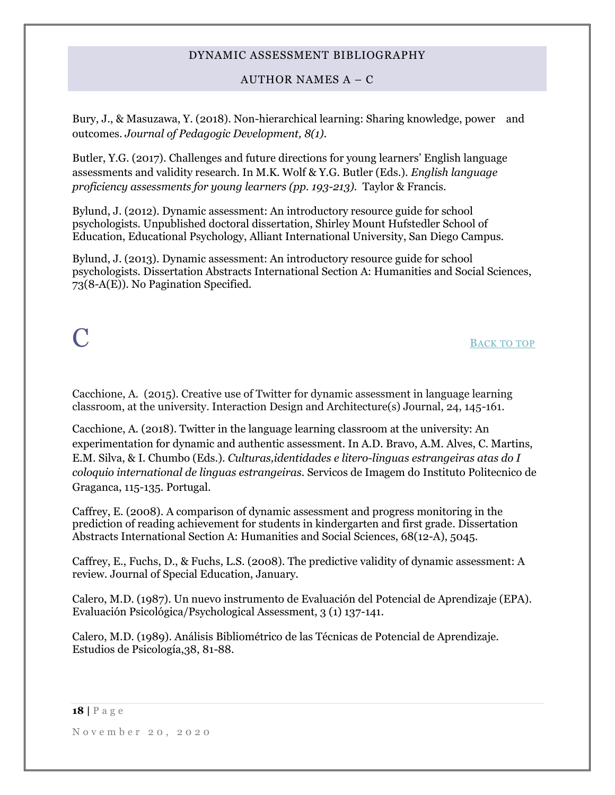AUTHOR NAMES A – C

Bury, J., & Masuzawa, Y. (2018). Non-hierarchical learning: Sharing knowledge, power and outcomes. *Journal of Pedagogic Development, 8(1).*

Butler, Y.G. (2017). Challenges and future directions for young learners' English language assessments and validity research. In M.K. Wolf & Y.G. Butler (Eds.). *English language proficiency assessments for young learners (pp. 193-213).* Taylor & Francis.

Bylund, J. (2012). Dynamic assessment: An introductory resource guide for school psychologists. Unpublished doctoral dissertation, Shirley Mount Hufstedler School of Education, Educational Psychology, Alliant International University, San Diego Campus.

Bylund, J. (2013). Dynamic assessment: An introductory resource guide for school psychologists. Dissertation Abstracts International Section A: Humanities and Social Sciences, 73(8-A(E)). No Pagination Specified.

# <span id="page-17-0"></span> $\bf C$  B[ACK TO TOP](#page-0-1)

Cacchione, A. (2015). Creative use of Twitter for dynamic assessment in language learning classroom, at the university. Interaction Design and Architecture(s) Journal, 24, 145-161.

Cacchione, A. (2018). Twitter in the language learning classroom at the university: An experimentation for dynamic and authentic assessment. In A.D. Bravo, A.M. Alves, C. Martins, E.M. Silva, & I. Chumbo (Eds.). *Culturas,identidades e litero-linguas estrangeiras atas do I coloquio international de linguas estrangeiras.* Servicos de Imagem do Instituto Politecnico de Graganca, 115-135. Portugal.

Caffrey, E. (2008). A comparison of dynamic assessment and progress monitoring in the prediction of reading achievement for students in kindergarten and first grade. Dissertation Abstracts International Section A: Humanities and Social Sciences, 68(12-A), 5045.

Caffrey, E., Fuchs, D., & Fuchs, L.S. (2008). The predictive validity of dynamic assessment: A review. Journal of Special Education, January.

Calero, M.D. (1987). Un nuevo instrumento de Evaluación del Potencial de Aprendizaje (EPA). Evaluación Psicológica/Psychological Assessment, 3 (1) 137-141.

Calero, M.D. (1989). Análisis Bibliométrico de las Técnicas de Potencial de Aprendizaje. Estudios de Psicología,38, 81-88.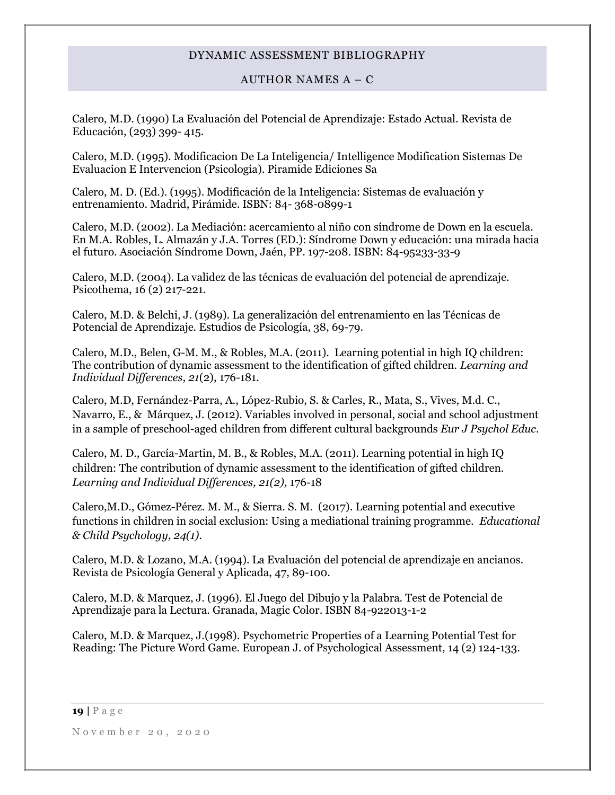# AUTHOR NAMES A – C

Calero, M.D. (1990) La Evaluación del Potencial de Aprendizaje: Estado Actual. Revista de Educación, (293) 399- 415.

Calero, M.D. (1995). Modificacion De La Inteligencia/ Intelligence Modification Sistemas De Evaluacion E Intervencion (Psicologia). Piramide Ediciones Sa

Calero, M. D. (Ed.). (1995). Modificación de la Inteligencia: Sistemas de evaluación y entrenamiento. Madrid, Pirámide. ISBN: 84- 368-0899-1

Calero, M.D. (2002). La Mediación: acercamiento al niño con síndrome de Down en la escuela. En M.A. Robles, L. Almazán y J.A. Torres (ED.): Síndrome Down y educación: una mirada hacia el futuro. Asociación Síndrome Down, Jaén, PP. 197-208. ISBN: 84-95233-33-9

Calero, M.D. (2004). La validez de las técnicas de evaluación del potencial de aprendizaje. Psicothema, 16 (2) 217-221.

Calero, M.D. & Belchi, J. (1989). La generalización del entrenamiento en las Técnicas de Potencial de Aprendizaje. Estudios de Psicología, 38, 69-79.

Calero, M.D., Belen, G-M. M., & Robles, M.A. (2011). Learning potential in high IQ children: The contribution of dynamic assessment to the identification of gifted children. *Learning and Individual Differences*, *21*(2), 176-181.

Calero, M.D, Fernández-Parra, A., López-Rubio, S. & Carles, R., Mata, S., Vives, M.d. C., Navarro, E., & Márquez, J. (2012). Variables involved in personal, social and school adjustment in a sample of preschool-aged children from different cultural backgrounds *Eur J Psychol Educ.*

Calero, M. D., García-Martin, M. B., & Robles, M.A. (2011). Learning potential in high IQ children: The contribution of dynamic assessment to the identification of gifted children. *Learning and Individual Differences, 21(2),* 176-18

Calero,M.D., Gómez-Pérez. M. M., & Sierra. S. M. (2017). Learning potential and executive functions in children in social exclusion: Using a mediational training programme. *Educational & Child Psychology, 24(1).*

Calero, M.D. & Lozano, M.A. (1994). La Evaluación del potencial de aprendizaje en ancianos. Revista de Psicología General y Aplicada, 47, 89-100.

Calero, M.D. & Marquez, J. (1996). El Juego del Dibujo y la Palabra. Test de Potencial de Aprendizaje para la Lectura. Granada, Magic Color. ISBN 84-922013-1-2

Calero, M.D. & Marquez, J.(1998). Psychometric Properties of a Learning Potential Test for Reading: The Picture Word Game. European J. of Psychological Assessment, 14 (2) 124-133.

**19 |** P a g e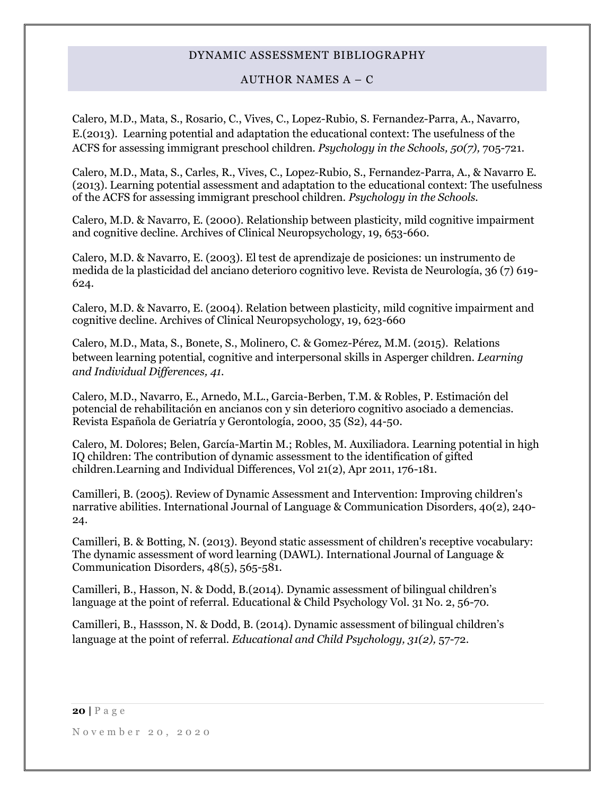# AUTHOR NAMES  $A - C$

Calero, M.D., Mata, S., Rosario, C., Vives, C., Lopez-Rubio, S. Fernandez-Parra, A., Navarro, E.(2013). Learning potential and adaptation the educational context: The usefulness of the ACFS for assessing immigrant preschool children. *Psychology in the Schools, 50(7),* 705-721.

Calero, M.D., Mata, S., Carles, R., Vives, C., Lopez-Rubio, S., Fernandez-Parra, A., & Navarro E. (2013). Learning potential assessment and adaptation to the educational context: The usefulness of the ACFS for assessing immigrant preschool children. *Psychology in the Schools.*

Calero, M.D. & Navarro, E. (2000). Relationship between plasticity, mild cognitive impairment and cognitive decline. Archives of Clinical Neuropsychology, 19, 653-660.

Calero, M.D. & Navarro, E. (2003). El test de aprendizaje de posiciones: un instrumento de medida de la plasticidad del anciano deterioro cognitivo leve. Revista de Neurología, 36 (7) 619- 624.

Calero, M.D. & Navarro, E. (2004). Relation between plasticity, mild cognitive impairment and cognitive decline. Archives of Clinical Neuropsychology, 19, 623-660

Calero, M.D., Mata, S., Bonete, S., Molinero, C. & Gomez-Pérez, M.M. (2015). Relations between learning potential, cognitive and interpersonal skills in Asperger children. *Learning and Individual Differences, 41.*

Calero, M.D., Navarro, E., Arnedo, M.L., Garcia-Berben, T.M. & Robles, P. Estimación del potencial de rehabilitación en ancianos con y sin deterioro cognitivo asociado a demencias. Revista Española de Geriatría y Gerontología, 2000, 35 (S2), 44-50.

Calero, M. Dolores; Belen, García-Martin M.; Robles, M. Auxiliadora. Learning potential in high IQ children: The contribution of dynamic assessment to the identification of gifted children.Learning and Individual Differences, Vol 21(2), Apr 2011, 176-181.

Camilleri, B. (2005). Review of Dynamic Assessment and Intervention: Improving children's narrative abilities. International Journal of Language & Communication Disorders, 40(2), 240- 24.

Camilleri, B. & Botting, N. (2013). Beyond static assessment of children's receptive vocabulary: The dynamic assessment of word learning (DAWL). International Journal of Language & Communication Disorders, 48(5), 565-581.

Camilleri, B., Hasson, N. & Dodd, B.(2014). Dynamic assessment of bilingual children's language at the point of referral. Educational & Child Psychology Vol. 31 No. 2, 56-70.

Camilleri, B., Hassson, N. & Dodd, B. (2014). Dynamic assessment of bilingual children's language at the point of referral. *Educational and Child Psychology, 31(2),* 57-72.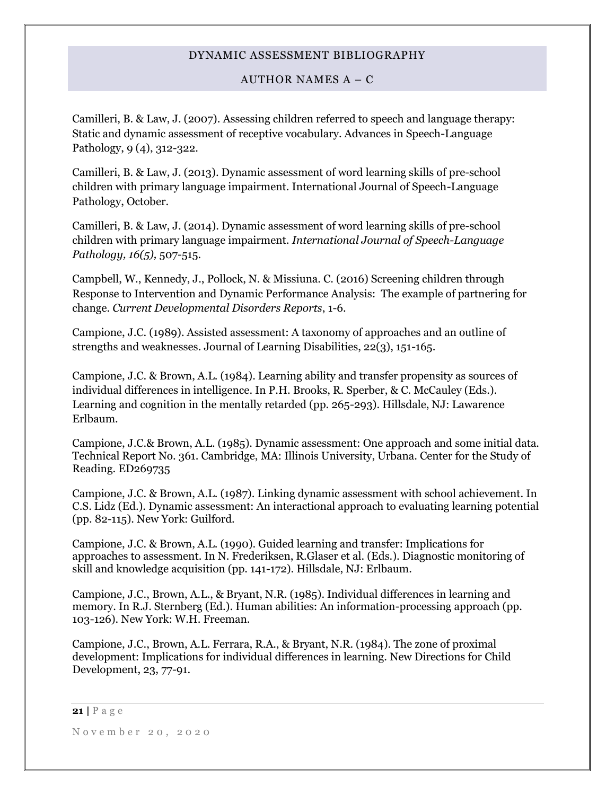# AUTHOR NAMES  $A - C$

Camilleri, B. & Law, J. (2007). Assessing children referred to speech and language therapy: Static and dynamic assessment of receptive vocabulary. Advances in Speech-Language Pathology, 9 (4), 312-322.

Camilleri, B. & Law, J. (2013). Dynamic assessment of word learning skills of pre-school children with primary language impairment. International Journal of Speech-Language Pathology, October.

Camilleri, B. & Law, J. (2014). Dynamic assessment of word learning skills of pre-school children with primary language impairment*. International Journal of Speech-Language Pathology, 16(5),* 507-515.

Campbell, W., Kennedy, J., Pollock, N. & Missiuna. C. (2016) Screening children through Response to Intervention and Dynamic Performance Analysis: The example of partnering for change. *Current Developmental Disorders Reports*, 1-6.

Campione, J.C. (1989). Assisted assessment: A taxonomy of approaches and an outline of strengths and weaknesses. Journal of Learning Disabilities, 22(3), 151-165.

Campione, J.C. & Brown, A.L. (1984). Learning ability and transfer propensity as sources of individual differences in intelligence. In P.H. Brooks, R. Sperber, & C. McCauley (Eds.). Learning and cognition in the mentally retarded (pp. 265-293). Hillsdale, NJ: Lawarence Erlbaum.

Campione, J.C.& Brown, A.L. (1985). Dynamic assessment: One approach and some initial data. Technical Report No. 361. Cambridge, MA: Illinois University, Urbana. Center for the Study of Reading. ED269735

Campione, J.C. & Brown, A.L. (1987). Linking dynamic assessment with school achievement. In C.S. Lidz (Ed.). Dynamic assessment: An interactional approach to evaluating learning potential (pp. 82-115). New York: Guilford.

Campione, J.C. & Brown, A.L. (1990). Guided learning and transfer: Implications for approaches to assessment. In N. Frederiksen, R.Glaser et al. (Eds.). Diagnostic monitoring of skill and knowledge acquisition (pp. 141-172). Hillsdale, NJ: Erlbaum.

Campione, J.C., Brown, A.L., & Bryant, N.R. (1985). Individual differences in learning and memory. In R.J. Sternberg (Ed.). Human abilities: An information-processing approach (pp. 103-126). New York: W.H. Freeman.

Campione, J.C., Brown, A.L. Ferrara, R.A., & Bryant, N.R. (1984). The zone of proximal development: Implications for individual differences in learning. New Directions for Child Development, 23, 77-91.

**21 |** P a g e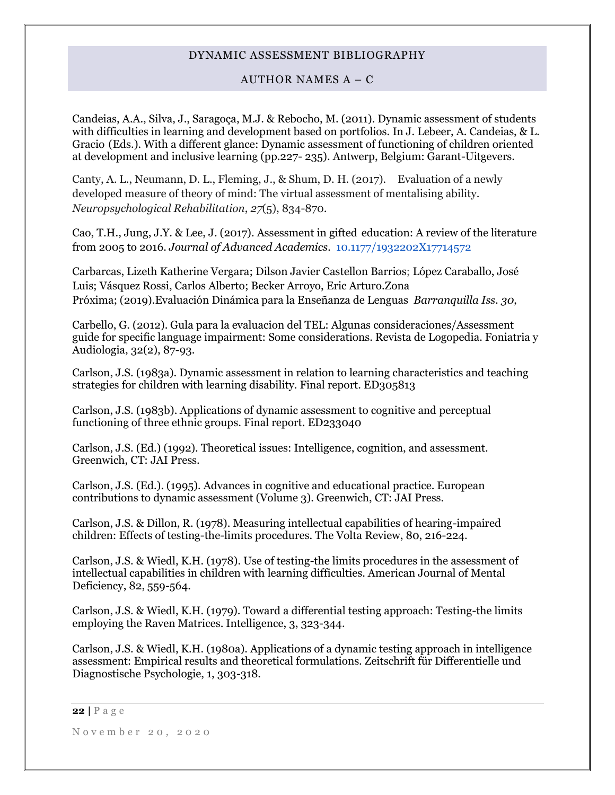# AUTHOR NAMES  $A - C$

Candeias, A.A., Silva, J., Saragoça, M.J. & Rebocho, M. (2011). Dynamic assessment of students with difficulties in learning and development based on portfolios. In J. Lebeer, A. Candeias, & L. Gracio (Eds.). With a different glance: Dynamic assessment of functioning of children oriented at development and inclusive learning (pp.227- 235). Antwerp, Belgium: Garant-Uitgevers.

Canty, A. L., Neumann, D. L., Fleming, J., & Shum, D. H. (2017). Evaluation of a newly developed measure of theory of mind: The virtual assessment of mentalising ability. *Neuropsychological Rehabilitation*, *27*(5), 834-870.

Cao, T.H., Jung, J.Y. & Lee, J. (2017). Assessment in gifted education: A review of the literature from 2005 to 2016. *Journal of Advanced Academics.* 10.1177/1932202X17714572

Carbarcas, [Lizeth Katherine Vergara;](https://search.proquest.com/indexinglinkhandler/sng/au/Lizeth+Katherine+Vergara+Cabarcas/$N;jsessionid=D61AB31B2D23C4AB17C569588DEE5CF8.i-07b30e126e07f6d9e) [Dilson Javier Castellon Barrios;](https://search.proquest.com/indexinglinkhandler/sng/au/Dilson+Javier+Castellon+Barrios/$N;jsessionid=D61AB31B2D23C4AB17C569588DEE5CF8.i-07b30e126e07f6d9e) [López Caraballo, José](https://search.proquest.com/indexinglinkhandler/sng/au/L$f3pez+Caraballo,+Jos$e9+Luis/$N;jsessionid=D61AB31B2D23C4AB17C569588DEE5CF8.i-07b30e126e07f6d9e)  [Luis;](https://search.proquest.com/indexinglinkhandler/sng/au/L$f3pez+Caraballo,+Jos$e9+Luis/$N;jsessionid=D61AB31B2D23C4AB17C569588DEE5CF8.i-07b30e126e07f6d9e) [Vásquez Rossi, Carlos Alberto;](https://search.proquest.com/indexinglinkhandler/sng/au/V$e1squez+Rossi,+Carlos+Alberto/$N;jsessionid=D61AB31B2D23C4AB17C569588DEE5CF8.i-07b30e126e07f6d9e) [Becker Arroyo, Eric Arturo](https://search.proquest.com/indexinglinkhandler/sng/au/Becker+Arroyo,+Eric+Arturo/$N;jsessionid=D61AB31B2D23C4AB17C569588DEE5CF8.i-07b30e126e07f6d9e)[.Zona](https://search.proquest.com/pubidlinkhandler/sng/pubtitle/Zona+Pr$f3xima/$N/2027435/OpenView/2260012957/$B/B7A606BE6E374EB8PQ/1;jsessionid=D61AB31B2D23C4AB17C569588DEE5CF8.i-07b30e126e07f6d9e)  [Próxima;](https://search.proquest.com/pubidlinkhandler/sng/pubtitle/Zona+Pr$f3xima/$N/2027435/OpenView/2260012957/$B/B7A606BE6E374EB8PQ/1;jsessionid=D61AB31B2D23C4AB17C569588DEE5CF8.i-07b30e126e07f6d9e) (2019).Evaluación Dinámica para la Enseñanza de Lenguas *Barranquilla [Iss.](https://search.proquest.com/indexingvolumeissuelinkhandler/2027435/Zona+Pr$f3xima/02019Y01Y01$232019$3b++$2830$29/$B/30;jsessionid=D61AB31B2D23C4AB17C569588DEE5CF8.i-07b30e126e07f6d9e) 30,*

Carbello, G. (2012). Gula para la evaluacion del TEL: Algunas consideraciones/Assessment guide for specific language impairment: Some considerations. Revista de Logopedia. Foniatria y Audiologia, 32(2), 87-93.

Carlson, J.S. (1983a). Dynamic assessment in relation to learning characteristics and teaching strategies for children with learning disability. Final report. ED305813

Carlson, J.S. (1983b). Applications of dynamic assessment to cognitive and perceptual functioning of three ethnic groups. Final report. ED233040

Carlson, J.S. (Ed.) (1992). Theoretical issues: Intelligence, cognition, and assessment. Greenwich, CT: JAI Press.

Carlson, J.S. (Ed.). (1995). Advances in cognitive and educational practice. European contributions to dynamic assessment (Volume 3). Greenwich, CT: JAI Press.

Carlson, J.S. & Dillon, R. (1978). Measuring intellectual capabilities of hearing-impaired children: Effects of testing-the-limits procedures. The Volta Review, 80, 216-224.

Carlson, J.S. & Wiedl, K.H. (1978). Use of testing-the limits procedures in the assessment of intellectual capabilities in children with learning difficulties. American Journal of Mental Deficiency, 82, 559-564.

Carlson, J.S. & Wiedl, K.H. (1979). Toward a differential testing approach: Testing-the limits employing the Raven Matrices. Intelligence, 3, 323-344.

Carlson, J.S. & Wiedl, K.H. (1980a). Applications of a dynamic testing approach in intelligence assessment: Empirical results and theoretical formulations. Zeitschrift für Differentielle und Diagnostische Psychologie, 1, 303-318.

#### **22 |** P a g e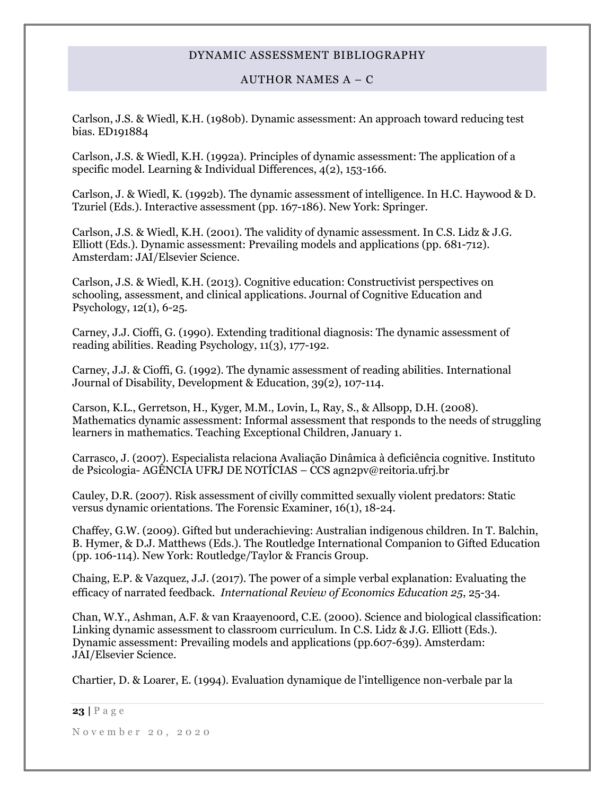# AUTHOR NAMES A – C

Carlson, J.S. & Wiedl, K.H. (1980b). Dynamic assessment: An approach toward reducing test bias. ED191884

Carlson, J.S. & Wiedl, K.H. (1992a). Principles of dynamic assessment: The application of a specific model. Learning & Individual Differences, 4(2), 153-166.

Carlson, J. & Wiedl, K. (1992b). The dynamic assessment of intelligence. In H.C. Haywood & D. Tzuriel (Eds.). Interactive assessment (pp. 167-186). New York: Springer.

Carlson, J.S. & Wiedl, K.H. (2001). The validity of dynamic assessment. In C.S. Lidz & J.G. Elliott (Eds.). Dynamic assessment: Prevailing models and applications (pp. 681-712). Amsterdam: JAI/Elsevier Science.

Carlson, J.S. & Wiedl, K.H. (2013). Cognitive education: Constructivist perspectives on schooling, assessment, and clinical applications. Journal of Cognitive Education and Psychology, 12(1), 6-25.

Carney, J.J. Cioffi, G. (1990). Extending traditional diagnosis: The dynamic assessment of reading abilities. Reading Psychology, 11(3), 177-192.

Carney, J.J. & Cioffi, G. (1992). The dynamic assessment of reading abilities. International Journal of Disability, Development & Education, 39(2), 107-114.

Carson, K.L., Gerretson, H., Kyger, M.M., Lovin, L, Ray, S., & Allsopp, D.H. (2008). Mathematics dynamic assessment: Informal assessment that responds to the needs of struggling learners in mathematics. Teaching Exceptional Children, January 1.

Carrasco, J. (2007). Especialista relaciona Avaliação Dinâmica à deficiência cognitive. Instituto de Psicologia- AGÊNCIA UFRJ DE NOTÍCIAS – CCS agn2pv@reitoria.ufrj.br

Cauley, D.R. (2007). Risk assessment of civilly committed sexually violent predators: Static versus dynamic orientations. The Forensic Examiner, 16(1), 18-24.

Chaffey, G.W. (2009). Gifted but underachieving: Australian indigenous children. In T. Balchin, B. Hymer, & D.J. Matthews (Eds.). The Routledge International Companion to Gifted Education (pp. 106-114). New York: Routledge/Taylor & Francis Group.

Chaing, E.P. & Vazquez, J.J. (2017). The power of a simple verbal explanation: Evaluating the efficacy of narrated feedback. *International Review of Economics Education 25*, 25-34.

Chan, W.Y., Ashman, A.F. & van Kraayenoord, C.E. (2000). Science and biological classification: Linking dynamic assessment to classroom curriculum. In C.S. Lidz & J.G. Elliott (Eds.). Dynamic assessment: Prevailing models and applications (pp.607-639). Amsterdam: JAI/Elsevier Science.

Chartier, D. & Loarer, E. (1994). Evaluation dynamique de l'intelligence non-verbale par la

#### **23 |** P a g e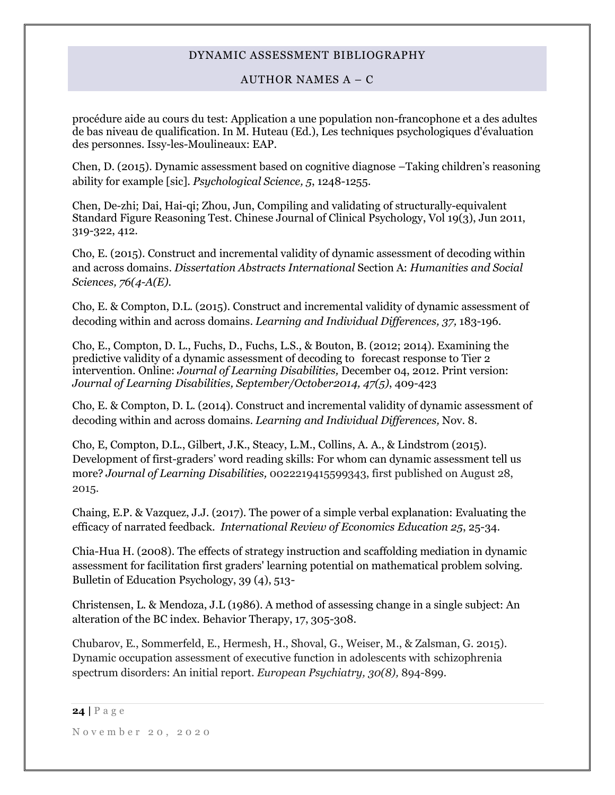# AUTHOR NAMES A – C

procédure aide au cours du test: Application a une population non-francophone et a des adultes de bas niveau de qualification. In M. Huteau (Ed.), Les techniques psychologiques d'évaluation des personnes. Issy-les-Moulineaux: EAP.

Chen, D. (2015). Dynamic assessment based on cognitive diagnose –Taking children's reasoning ability for example [sic]. *Psychological Science, 5*, 1248-1255.

Chen, De-zhi; Dai, Hai-qi; Zhou, Jun, Compiling and validating of structurally-equivalent Standard Figure Reasoning Test. Chinese Journal of Clinical Psychology, Vol 19(3), Jun 2011, 319-322, 412.

Cho, E. (2015). Construct and incremental validity of dynamic assessment of decoding within and across domains. *Dissertation Abstracts International* Section A: *Humanities and Social Sciences, 76(4-A(E).*

Cho, E. & Compton, D.L. (2015). Construct and incremental validity of dynamic assessment of decoding within and across domains. *Learning and Individual Differences, 37,* 183-196.

Cho, E., Compton, D. L., Fuchs, D., Fuchs, L.S., & Bouton, B. (2012; 2014). Examining the predictive validity of a dynamic assessment of decoding to forecast response to Tier 2 intervention. Online: *Journal of Learning Disabilities,* December 04, 2012. Print version: *Journal of Learning Disabilities, September/October2014, 47(5)*, 409-423

Cho, E. & Compton, D. L. (2014). Construct and incremental validity of dynamic assessment of decoding within and across domains. *Learning and Individual Differences,* Nov. 8.

Cho, E, Compton, D.L., Gilbert, J.K., Steacy, L.M., Collins, A. A., & Lindstrom (2015). Development of first-graders' word reading skills: For whom can dynamic assessment tell us more? *Journal of Learning Disabilities,* 0022219415599343, first published on August 28, 2015.

Chaing, E.P. & Vazquez, J.J. (2017). The power of a simple verbal explanation: Evaluating the efficacy of narrated feedback. *International Review of Economics Education 25*, 25-34.

Chia-Hua H. (2008). The effects of strategy instruction and scaffolding mediation in dynamic assessment for facilitation first graders' learning potential on mathematical problem solving. Bulletin of Education Psychology, 39 (4), 513-

Christensen, L. & Mendoza, J.L (1986). A method of assessing change in a single subject: An alteration of the BC index. Behavior Therapy, 17, 305-308.

Chubarov, E., Sommerfeld, E., Hermesh, H., Shoval, G., Weiser, M., & Zalsman, G. 2015). Dynamic occupation assessment of executive function in adolescents with schizophrenia spectrum disorders: An initial report. *European Psychiatry, 30(8),* 894-899.

**<sup>24</sup> |** P a g e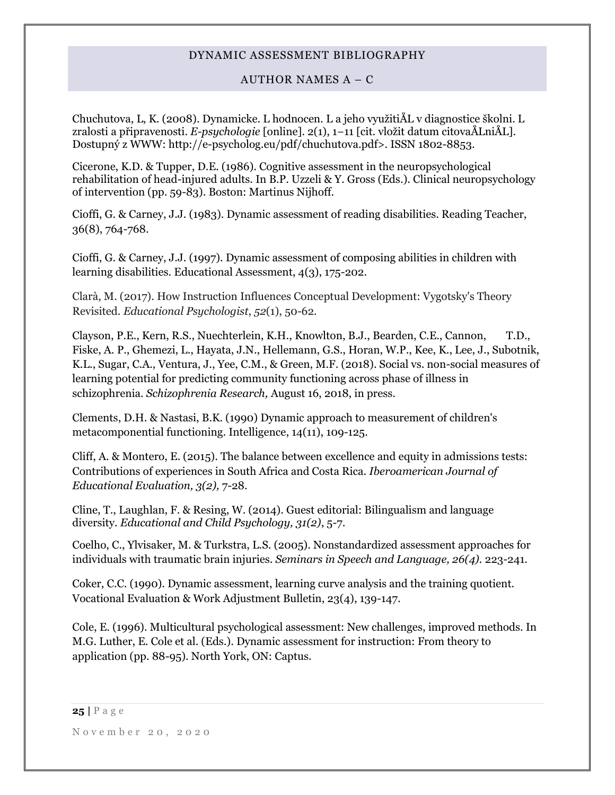# AUTHOR NAMES A – C

Chuchutova, L, K. (2008). Dynamicke. L hodnocen. L a jeho využitiÅL v diagnostice školni. L zralosti a připravenosti. *E-psychologie* [online]. 2(1), 1−11 [cit. vložit datum citovaÅLniÅL]. Dostupný z WWW: http://e-psycholog.eu/pdf/chuchutova.pdf>. ISSN 1802-8853.

Cicerone, K.D. & Tupper, D.E. (1986). Cognitive assessment in the neuropsychological rehabilitation of head-injured adults. In B.P. Uzzeli & Y. Gross (Eds.). Clinical neuropsychology of intervention (pp. 59-83). Boston: Martinus Nijhoff.

Cioffi, G. & Carney, J.J. (1983). Dynamic assessment of reading disabilities. Reading Teacher, 36(8), 764-768.

Cioffi, G. & Carney, J.J. (1997). Dynamic assessment of composing abilities in children with learning disabilities. Educational Assessment, 4(3), 175-202.

Clarà, M. (2017). How Instruction Influences Conceptual Development: Vygotsky's Theory Revisited. *Educational Psychologist*, *52*(1), 50-62.

Clayson, P.E., Kern, R.S., Nuechterlein, K.H., Knowlton, B.J., Bearden, C.E., Cannon, T.D., Fiske, A. P., Ghemezi, L., Hayata, J.N., Hellemann, G.S., Horan, W.P., Kee, K., Lee, J., Subotnik, K.L., Sugar, C.A., Ventura, J., Yee, C.M., & Green, M.F. (2018). Social vs. non-social measures of learning potential for predicting community functioning across phase of illness in schizophrenia. *Schizophrenia Research,* August 16, 2018, in press.

Clements, D.H. & Nastasi, B.K. (1990) Dynamic approach to measurement of children's metacomponential functioning. Intelligence, 14(11), 109-125.

Cliff, A. & Montero, E. (2015). The balance between excellence and equity in admissions tests: Contributions of experiences in South Africa and Costa Rica. *Iberoamerican Journal of Educational Evaluation, 3(2),* 7-28.

Cline, T., Laughlan, F. & Resing, W. (2014). Guest editorial: Bilingualism and language diversity*. Educational and Child Psychology, 31(2)*, 5-7.

Coelho, C., Ylvisaker, M. & Turkstra, L.S. (2005). Nonstandardized assessment approaches for individuals with traumatic brain injuries. *Seminars in Speech and Language, 26(4).* 223-241.

Coker, C.C. (1990). Dynamic assessment, learning curve analysis and the training quotient. Vocational Evaluation & Work Adjustment Bulletin, 23(4), 139-147.

Cole, E. (1996). Multicultural psychological assessment: New challenges, improved methods. In M.G. Luther, E. Cole et al. (Eds.). Dynamic assessment for instruction: From theory to application (pp. 88-95). North York, ON: Captus.

**25 |** P a g e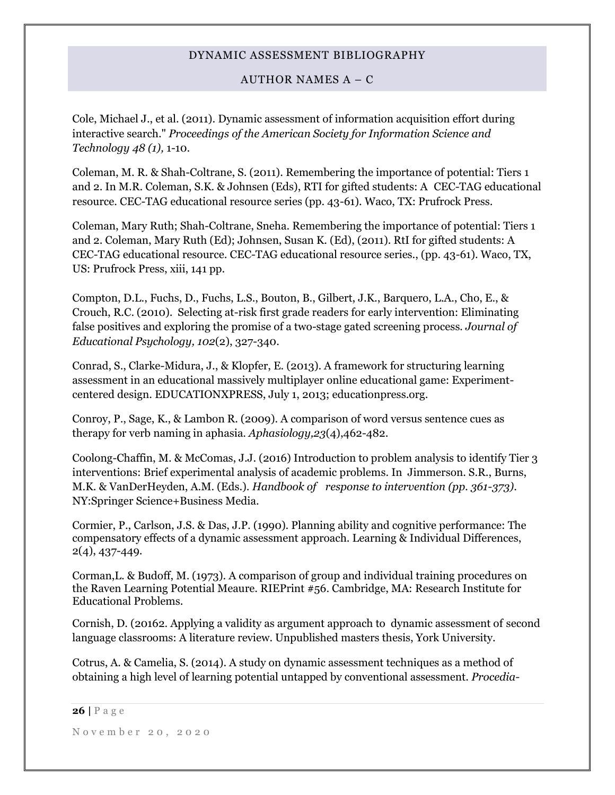AUTHOR NAMES A – C

Cole, Michael J., et al. (2011). Dynamic assessment of information acquisition effort during interactive search." *Proceedings of the American Society for Information Science and Technology 48 (1),* 1-10.

Coleman, M. R. & Shah-Coltrane, S. (2011). Remembering the importance of potential: Tiers 1 and 2. In M.R. Coleman, S.K. & Johnsen (Eds), RTI for gifted students: A CEC-TAG educational resource. CEC-TAG educational resource series (pp. 43-61). Waco, TX: Prufrock Press.

Coleman, Mary Ruth; Shah-Coltrane, Sneha. Remembering the importance of potential: Tiers 1 and 2. Coleman, Mary Ruth (Ed); Johnsen, Susan K. (Ed), (2011). RtI for gifted students: A CEC-TAG educational resource. CEC-TAG educational resource series., (pp. 43-61). Waco, TX, US: Prufrock Press, xiii, 141 pp.

Compton, D.L., Fuchs, D., Fuchs, L.S., Bouton, B., Gilbert, J.K., Barquero, L.A., Cho, E., & Crouch, R.C. (2010). Selecting at-risk first grade readers for early intervention: Eliminating false positives and exploring the promise of a two-stage gated screening process*. Journal of Educational Psychology, 102*(2), 327-340.

Conrad, S., Clarke-Midura, J., & Klopfer, E. (2013). A framework for structuring learning assessment in an educational massively multiplayer online educational game: Experimentcentered design. EDUCATIONXPRESS, July 1, 2013; educationpress.org.

Conroy, P., Sage, K., & Lambon R. (2009). A comparison of word versus sentence cues as therapy for verb naming in aphasia. *Aphasiology,23*(4),462-482.

Coolong-Chaffin, M. & McComas, J.J. (2016) Introduction to problem analysis to identify Tier 3 interventions: Brief experimental analysis of academic problems. In Jimmerson. S.R., Burns, M.K. & VanDerHeyden, A.M. (Eds.). *Handbook of response to intervention (pp. 361-373)*. NY:Springer Science+Business Media.

Cormier, P., Carlson, J.S. & Das, J.P. (1990). Planning ability and cognitive performance: The compensatory effects of a dynamic assessment approach. Learning & Individual Differences, 2(4), 437-449.

Corman,L. & Budoff, M. (1973). A comparison of group and individual training procedures on the Raven Learning Potential Meaure. RIEPrint #56. Cambridge, MA: Research Institute for Educational Problems.

Cornish, D. (20162. Applying a validity as argument approach to dynamic assessment of second language classrooms: A literature review. Unpublished masters thesis, York University.

Cotrus, A. & Camelia, S. (2014). A study on dynamic assessment techniques as a method of obtaining a high level of learning potential untapped by conventional assessment. *Procedia-*

#### **26 |** P a g e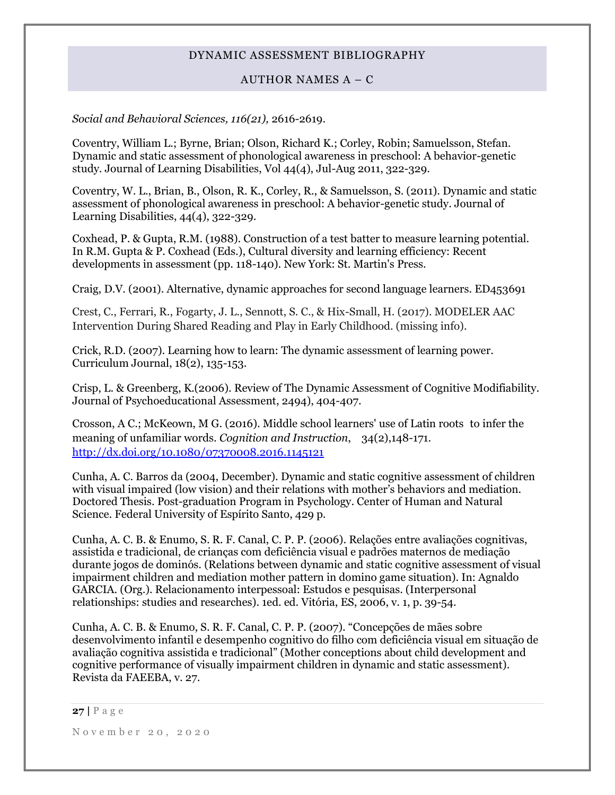# AUTHOR NAMES A – C

# *Social and Behavioral Sciences, 116(21),* 2616-2619.

Coventry, William L.; Byrne, Brian; Olson, Richard K.; Corley, Robin; Samuelsson, Stefan. Dynamic and static assessment of phonological awareness in preschool: A behavior-genetic study. Journal of Learning Disabilities, Vol 44(4), Jul-Aug 2011, 322-329.

Coventry, W. L., Brian, B., Olson, R. K., Corley, R., & Samuelsson, S. (2011). Dynamic and static assessment of phonological awareness in preschool: A behavior-genetic study. Journal of Learning Disabilities, 44(4), 322-329.

Coxhead, P. & Gupta, R.M. (1988). Construction of a test batter to measure learning potential. In R.M. Gupta & P. Coxhead (Eds.), Cultural diversity and learning efficiency: Recent developments in assessment (pp. 118-140). New York: St. Martin's Press.

Craig, D.V. (2001). Alternative, dynamic approaches for second language learners. ED453691

Crest, C., Ferrari, R., Fogarty, J. L., Sennott, S. C., & Hix-Small, H. (2017). MODELER AAC Intervention During Shared Reading and Play in Early Childhood. (missing info).

Crick, R.D. (2007). Learning how to learn: The dynamic assessment of learning power. Curriculum Journal, 18(2), 135-153.

Crisp, L. & Greenberg, K.(2006). Review of The Dynamic Assessment of Cognitive Modifiability. Journal of Psychoeducational Assessment, 2494), 404-407.

[Crosson, A C.;](http://psycnet.apa.org/index.cfm?fa=search.searchResults&latSearchType=a&term=Crosson,%20Amy%20C.) [McKeown, M G.](http://psycnet.apa.org/index.cfm?fa=search.searchResults&latSearchType=a&term=McKeown,%20Margaret%20G.) (2016). Middle school learners' use of Latin roots to infer the meaning of unfamiliar words. *Cognition and Instruction*, 34(2),148-171. [http://dx.doi.org/10.1080/07370008.2016.1145121](http://psycnet.apa.org/doi/10.1080/07370008.2016.1145121)

Cunha, A. C. Barros da (2004, December). Dynamic and static cognitive assessment of children with visual impaired (low vision) and their relations with mother's behaviors and mediation. Doctored Thesis. Post-graduation Program in Psychology. Center of Human and Natural Science. Federal University of Espírito Santo, 429 p.

Cunha, A. C. B. & Enumo, S. R. F. Canal, C. P. P. (2006). Relações entre avaliações cognitivas, assistida e tradicional, de crianças com deficiência visual e padrões maternos de mediação durante jogos de dominós. (Relations between dynamic and static cognitive assessment of visual impairment children and mediation mother pattern in domino game situation). In: Agnaldo GARCIA. (Org.). Relacionamento interpessoal: Estudos e pesquisas. (Interpersonal relationships: studies and researches). 1ed. ed. Vitória, ES, 2006, v. 1, p. 39-54.

Cunha, A. C. B. & Enumo, S. R. F. Canal, C. P. P. (2007). "Concepções de mães sobre desenvolvimento infantil e desempenho cognitivo do filho com deficiência visual em situação de avaliação cognitiva assistida e tradicional" (Mother conceptions about child development and cognitive performance of visually impairment children in dynamic and static assessment). Revista da FAEEBA, v. 27.